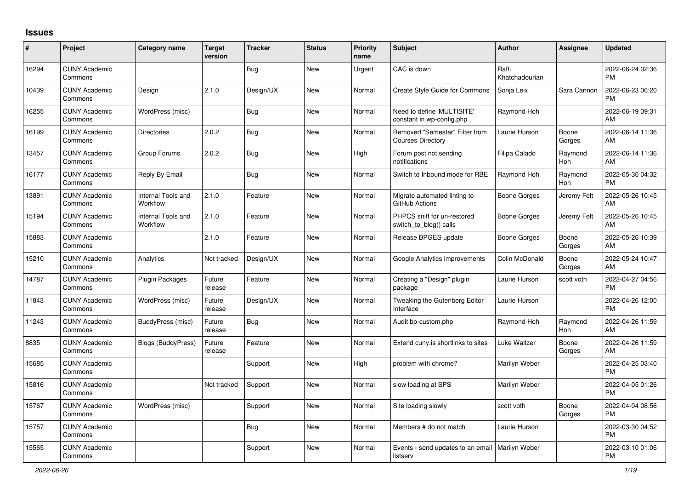## **Issues**

| #     | Project                         | <b>Category name</b>           | <b>Target</b><br>version | <b>Tracker</b> | <b>Status</b> | <b>Priority</b><br>name | <b>Subject</b>                                             | <b>Author</b>           | <b>Assignee</b>       | <b>Updated</b>                |
|-------|---------------------------------|--------------------------------|--------------------------|----------------|---------------|-------------------------|------------------------------------------------------------|-------------------------|-----------------------|-------------------------------|
| 16294 | <b>CUNY Academic</b><br>Commons |                                |                          | Bug            | <b>New</b>    | Urgent                  | CAC is down                                                | Raffi<br>Khatchadourian |                       | 2022-06-24 02:36<br><b>PM</b> |
| 10439 | <b>CUNY Academic</b><br>Commons | Design                         | 2.1.0                    | Design/UX      | <b>New</b>    | Normal                  | Create Style Guide for Commons                             | Sonja Leix              | Sara Cannon           | 2022-06-23 06:20<br><b>PM</b> |
| 16255 | <b>CUNY Academic</b><br>Commons | WordPress (misc)               |                          | Bug            | <b>New</b>    | Normal                  | Need to define 'MULTISITE'<br>constant in wp-config.php    | Raymond Hoh             |                       | 2022-06-19 09:31<br>AM        |
| 16199 | <b>CUNY Academic</b><br>Commons | <b>Directories</b>             | 2.0.2                    | Bug            | <b>New</b>    | Normal                  | Removed "Semester" Filter from<br><b>Courses Directory</b> | Laurie Hurson           | Boone<br>Gorges       | 2022-06-14 11:36<br>AM        |
| 13457 | <b>CUNY Academic</b><br>Commons | Group Forums                   | 2.0.2                    | <b>Bug</b>     | <b>New</b>    | High                    | Forum post not sending<br>notifications                    | Filipa Calado           | Raymond<br>Hoh        | 2022-06-14 11:36<br>AM        |
| 16177 | <b>CUNY Academic</b><br>Commons | Reply By Email                 |                          | Bug            | <b>New</b>    | Normal                  | Switch to Inbound mode for RBE                             | Raymond Hoh             | Raymond<br>Hoh        | 2022-05-30 04:32<br><b>PM</b> |
| 13891 | <b>CUNY Academic</b><br>Commons | Internal Tools and<br>Workflow | 2.1.0                    | Feature        | <b>New</b>    | Normal                  | Migrate automated linting to<br>GitHub Actions             | Boone Gorges            | Jeremy Felt           | 2022-05-26 10:45<br>AM        |
| 15194 | <b>CUNY Academic</b><br>Commons | Internal Tools and<br>Workflow | 2.1.0                    | Feature        | <b>New</b>    | Normal                  | PHPCS sniff for un-restored<br>switch to blog() calls      | Boone Gorges            | Jeremy Felt           | 2022-05-26 10:45<br>AM        |
| 15883 | <b>CUNY Academic</b><br>Commons |                                | 2.1.0                    | Feature        | <b>New</b>    | Normal                  | Release BPGES update                                       | Boone Gorges            | Boone<br>Gorges       | 2022-05-26 10:39<br>AM        |
| 15210 | <b>CUNY Academic</b><br>Commons | Analytics                      | Not tracked              | Design/UX      | <b>New</b>    | Normal                  | Google Analytics improvements                              | Colin McDonald          | Boone<br>Gorges       | 2022-05-24 10:47<br>AM        |
| 14787 | <b>CUNY Academic</b><br>Commons | Plugin Packages                | Future<br>release        | Feature        | <b>New</b>    | Normal                  | Creating a "Design" plugin<br>package                      | Laurie Hurson           | scott voth            | 2022-04-27 04:56<br><b>PM</b> |
| 11843 | <b>CUNY Academic</b><br>Commons | WordPress (misc)               | Future<br>release        | Design/UX      | <b>New</b>    | Normal                  | Tweaking the Gutenberg Editor<br>Interface                 | Laurie Hurson           |                       | 2022-04-26 12:00<br><b>PM</b> |
| 11243 | <b>CUNY Academic</b><br>Commons | BuddyPress (misc)              | Future<br>release        | Bug            | <b>New</b>    | Normal                  | Audit bp-custom.php                                        | Raymond Hoh             | Raymond<br><b>Hoh</b> | 2022-04-26 11:59<br>AM        |
| 8835  | <b>CUNY Academic</b><br>Commons | <b>Blogs (BuddyPress)</b>      | Future<br>release        | Feature        | <b>New</b>    | Normal                  | Extend cuny.is shortlinks to sites                         | Luke Waltzer            | Boone<br>Gorges       | 2022-04-26 11:59<br>AM        |
| 15685 | <b>CUNY Academic</b><br>Commons |                                |                          | Support        | New           | High                    | problem with chrome?                                       | Marilyn Weber           |                       | 2022-04-25 03:40<br><b>PM</b> |
| 15816 | <b>CUNY Academic</b><br>Commons |                                | Not tracked              | Support        | <b>New</b>    | Normal                  | slow loading at SPS                                        | Marilyn Weber           |                       | 2022-04-05 01:26<br><b>PM</b> |
| 15767 | <b>CUNY Academic</b><br>Commons | WordPress (misc)               |                          | Support        | <b>New</b>    | Normal                  | Site loading slowly                                        | scott voth              | Boone<br>Gorges       | 2022-04-04 08:56<br><b>PM</b> |
| 15757 | <b>CUNY Academic</b><br>Commons |                                |                          | Bug            | <b>New</b>    | Normal                  | Members # do not match                                     | Laurie Hurson           |                       | 2022-03-30 04:52<br><b>PM</b> |
| 15565 | <b>CUNY Academic</b><br>Commons |                                |                          | Support        | <b>New</b>    | Normal                  | Events - send updates to an email<br>listserv              | Marilyn Weber           |                       | 2022-03-10 01:06<br><b>PM</b> |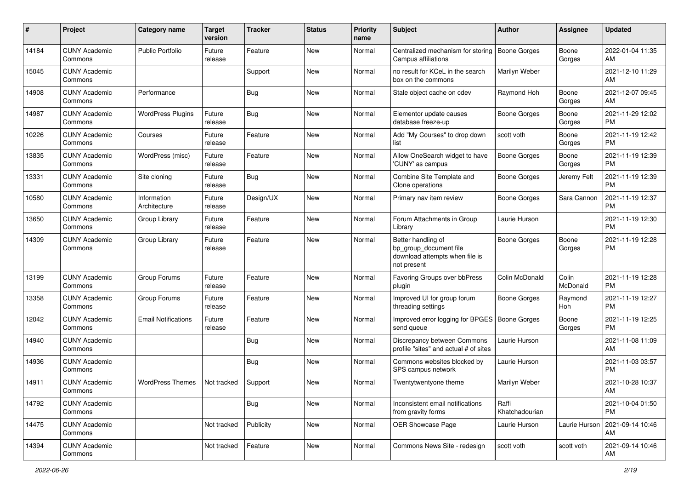| #     | Project                         | <b>Category name</b>        | <b>Target</b><br>version | <b>Tracker</b> | <b>Status</b> | <b>Priority</b><br>name | <b>Subject</b>                                                                                | Author                  | <b>Assignee</b>   | <b>Updated</b>                |
|-------|---------------------------------|-----------------------------|--------------------------|----------------|---------------|-------------------------|-----------------------------------------------------------------------------------------------|-------------------------|-------------------|-------------------------------|
| 14184 | <b>CUNY Academic</b><br>Commons | <b>Public Portfolio</b>     | Future<br>release        | Feature        | <b>New</b>    | Normal                  | Centralized mechanism for storing<br>Campus affiliations                                      | <b>Boone Gorges</b>     | Boone<br>Gorges   | 2022-01-04 11:35<br>AM        |
| 15045 | <b>CUNY Academic</b><br>Commons |                             |                          | Support        | <b>New</b>    | Normal                  | no result for KCeL in the search<br>box on the commons                                        | Marilyn Weber           |                   | 2021-12-10 11:29<br>AM        |
| 14908 | <b>CUNY Academic</b><br>Commons | Performance                 |                          | Bug            | New           | Normal                  | Stale object cache on cdev                                                                    | Raymond Hoh             | Boone<br>Gorges   | 2021-12-07 09:45<br>AM        |
| 14987 | <b>CUNY Academic</b><br>Commons | <b>WordPress Plugins</b>    | Future<br>release        | Bug            | New           | Normal                  | Elementor update causes<br>database freeze-up                                                 | Boone Gorges            | Boone<br>Gorges   | 2021-11-29 12:02<br><b>PM</b> |
| 10226 | <b>CUNY Academic</b><br>Commons | Courses                     | Future<br>release        | Feature        | <b>New</b>    | Normal                  | Add "My Courses" to drop down<br>list                                                         | scott voth              | Boone<br>Gorges   | 2021-11-19 12:42<br><b>PM</b> |
| 13835 | <b>CUNY Academic</b><br>Commons | WordPress (misc)            | Future<br>release        | Feature        | <b>New</b>    | Normal                  | Allow OneSearch widget to have<br>'CUNY' as campus                                            | <b>Boone Gorges</b>     | Boone<br>Gorges   | 2021-11-19 12:39<br><b>PM</b> |
| 13331 | <b>CUNY Academic</b><br>Commons | Site cloning                | Future<br>release        | Bug            | New           | Normal                  | Combine Site Template and<br>Clone operations                                                 | <b>Boone Gorges</b>     | Jeremy Felt       | 2021-11-19 12:39<br><b>PM</b> |
| 10580 | <b>CUNY Academic</b><br>Commons | Information<br>Architecture | Future<br>release        | Design/UX      | <b>New</b>    | Normal                  | Primary nav item review                                                                       | <b>Boone Gorges</b>     | Sara Cannon       | 2021-11-19 12:37<br>PM        |
| 13650 | <b>CUNY Academic</b><br>Commons | Group Library               | Future<br>release        | Feature        | <b>New</b>    | Normal                  | Forum Attachments in Group<br>Library                                                         | Laurie Hurson           |                   | 2021-11-19 12:30<br><b>PM</b> |
| 14309 | <b>CUNY Academic</b><br>Commons | Group Library               | Future<br>release        | Feature        | <b>New</b>    | Normal                  | Better handling of<br>bp_group_document file<br>download attempts when file is<br>not present | <b>Boone Gorges</b>     | Boone<br>Gorges   | 2021-11-19 12:28<br><b>PM</b> |
| 13199 | <b>CUNY Academic</b><br>Commons | Group Forums                | Future<br>release        | Feature        | <b>New</b>    | Normal                  | Favoring Groups over bbPress<br>plugin                                                        | Colin McDonald          | Colin<br>McDonald | 2021-11-19 12:28<br><b>PM</b> |
| 13358 | <b>CUNY Academic</b><br>Commons | Group Forums                | Future<br>release        | Feature        | New           | Normal                  | Improved UI for group forum<br>threading settings                                             | <b>Boone Gorges</b>     | Raymond<br>Hoh    | 2021-11-19 12:27<br><b>PM</b> |
| 12042 | <b>CUNY Academic</b><br>Commons | <b>Email Notifications</b>  | Future<br>release        | Feature        | New           | Normal                  | Improved error logging for BPGES<br>send queue                                                | <b>Boone Gorges</b>     | Boone<br>Gorges   | 2021-11-19 12:25<br><b>PM</b> |
| 14940 | <b>CUNY Academic</b><br>Commons |                             |                          | <b>Bug</b>     | <b>New</b>    | Normal                  | Discrepancy between Commons<br>profile "sites" and actual # of sites                          | Laurie Hurson           |                   | 2021-11-08 11:09<br>AM        |
| 14936 | <b>CUNY Academic</b><br>Commons |                             |                          | Bug            | <b>New</b>    | Normal                  | Commons websites blocked by<br>SPS campus network                                             | Laurie Hurson           |                   | 2021-11-03 03:57<br><b>PM</b> |
| 14911 | <b>CUNY Academic</b><br>Commons | <b>WordPress Themes</b>     | Not tracked              | Support        | <b>New</b>    | Normal                  | Twentytwentyone theme                                                                         | Marilyn Weber           |                   | 2021-10-28 10:37<br>AM        |
| 14792 | <b>CUNY Academic</b><br>Commons |                             |                          | <b>Bug</b>     | New           | Normal                  | Inconsistent email notifications<br>from gravity forms                                        | Raffi<br>Khatchadourian |                   | 2021-10-04 01:50<br><b>PM</b> |
| 14475 | <b>CUNY Academic</b><br>Commons |                             | Not tracked              | Publicity      | New           | Normal                  | OER Showcase Page                                                                             | Laurie Hurson           | Laurie Hurson     | 2021-09-14 10:46<br>AM        |
| 14394 | <b>CUNY Academic</b><br>Commons |                             | Not tracked              | Feature        | New           | Normal                  | Commons News Site - redesign                                                                  | scott voth              | scott voth        | 2021-09-14 10:46<br>AM        |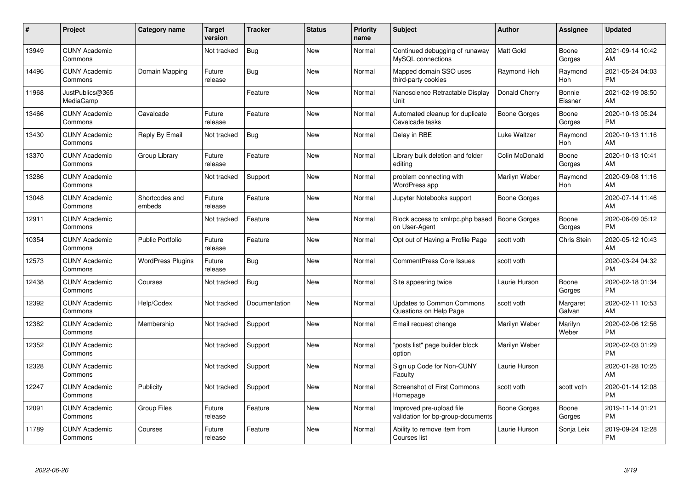| #     | Project                         | <b>Category name</b>     | <b>Target</b><br>version | <b>Tracker</b> | <b>Status</b> | <b>Priority</b><br>name | <b>Subject</b>                                                | <b>Author</b>       | <b>Assignee</b>       | <b>Updated</b>                |
|-------|---------------------------------|--------------------------|--------------------------|----------------|---------------|-------------------------|---------------------------------------------------------------|---------------------|-----------------------|-------------------------------|
| 13949 | <b>CUNY Academic</b><br>Commons |                          | Not tracked              | <b>Bug</b>     | <b>New</b>    | Normal                  | Continued debugging of runaway<br>MySQL connections           | <b>Matt Gold</b>    | Boone<br>Gorges       | 2021-09-14 10:42<br>AM        |
| 14496 | <b>CUNY Academic</b><br>Commons | Domain Mapping           | Future<br>release        | Bug            | New           | Normal                  | Mapped domain SSO uses<br>third-party cookies                 | Raymond Hoh         | Raymond<br><b>Hoh</b> | 2021-05-24 04:03<br><b>PM</b> |
| 11968 | JustPublics@365<br>MediaCamp    |                          |                          | Feature        | <b>New</b>    | Normal                  | Nanoscience Retractable Display<br>Unit                       | Donald Cherry       | Bonnie<br>Eissner     | 2021-02-19 08:50<br>AM        |
| 13466 | <b>CUNY Academic</b><br>Commons | Cavalcade                | Future<br>release        | Feature        | <b>New</b>    | Normal                  | Automated cleanup for duplicate<br>Cavalcade tasks            | Boone Gorges        | Boone<br>Gorges       | 2020-10-13 05:24<br><b>PM</b> |
| 13430 | <b>CUNY Academic</b><br>Commons | Reply By Email           | Not tracked              | Bug            | <b>New</b>    | Normal                  | Delay in RBE                                                  | <b>Luke Waltzer</b> | Raymond<br><b>Hoh</b> | 2020-10-13 11:16<br>AM        |
| 13370 | <b>CUNY Academic</b><br>Commons | Group Library            | Future<br>release        | Feature        | New           | Normal                  | Library bulk deletion and folder<br>editing                   | Colin McDonald      | Boone<br>Gorges       | 2020-10-13 10:41<br>AM        |
| 13286 | <b>CUNY Academic</b><br>Commons |                          | Not tracked              | Support        | <b>New</b>    | Normal                  | problem connecting with<br>WordPress app                      | Marilyn Weber       | Raymond<br>Hoh        | 2020-09-08 11:16<br>AM        |
| 13048 | <b>CUNY Academic</b><br>Commons | Shortcodes and<br>embeds | Future<br>release        | Feature        | <b>New</b>    | Normal                  | Jupyter Notebooks support                                     | <b>Boone Gorges</b> |                       | 2020-07-14 11:46<br>AM        |
| 12911 | <b>CUNY Academic</b><br>Commons |                          | Not tracked              | Feature        | <b>New</b>    | Normal                  | Block access to xmlrpc.php based<br>on User-Agent             | <b>Boone Gorges</b> | Boone<br>Gorges       | 2020-06-09 05:12<br><b>PM</b> |
| 10354 | <b>CUNY Academic</b><br>Commons | <b>Public Portfolio</b>  | Future<br>release        | Feature        | <b>New</b>    | Normal                  | Opt out of Having a Profile Page                              | scott voth          | Chris Stein           | 2020-05-12 10:43<br>AM        |
| 12573 | <b>CUNY Academic</b><br>Commons | <b>WordPress Plugins</b> | Future<br>release        | Bug            | <b>New</b>    | Normal                  | <b>CommentPress Core Issues</b>                               | scott voth          |                       | 2020-03-24 04:32<br><b>PM</b> |
| 12438 | <b>CUNY Academic</b><br>Commons | Courses                  | Not tracked              | <b>Bug</b>     | <b>New</b>    | Normal                  | Site appearing twice                                          | Laurie Hurson       | Boone<br>Gorges       | 2020-02-18 01:34<br><b>PM</b> |
| 12392 | <b>CUNY Academic</b><br>Commons | Help/Codex               | Not tracked              | Documentation  | New           | Normal                  | <b>Updates to Common Commons</b><br>Questions on Help Page    | scott voth          | Margaret<br>Galvan    | 2020-02-11 10:53<br>AM        |
| 12382 | <b>CUNY Academic</b><br>Commons | Membership               | Not tracked              | Support        | <b>New</b>    | Normal                  | Email request change                                          | Marilyn Weber       | Marilyn<br>Weber      | 2020-02-06 12:56<br><b>PM</b> |
| 12352 | <b>CUNY Academic</b><br>Commons |                          | Not tracked              | Support        | New           | Normal                  | "posts list" page builder block<br>option                     | Marilyn Weber       |                       | 2020-02-03 01:29<br><b>PM</b> |
| 12328 | <b>CUNY Academic</b><br>Commons |                          | Not tracked              | Support        | <b>New</b>    | Normal                  | Sign up Code for Non-CUNY<br>Faculty                          | Laurie Hurson       |                       | 2020-01-28 10:25<br>AM        |
| 12247 | <b>CUNY Academic</b><br>Commons | Publicity                | Not tracked              | Support        | New           | Normal                  | <b>Screenshot of First Commons</b><br>Homepage                | scott voth          | scott voth            | 2020-01-14 12:08<br><b>PM</b> |
| 12091 | <b>CUNY Academic</b><br>Commons | <b>Group Files</b>       | Future<br>release        | Feature        | <b>New</b>    | Normal                  | Improved pre-upload file<br>validation for bp-group-documents | <b>Boone Gorges</b> | Boone<br>Gorges       | 2019-11-14 01:21<br><b>PM</b> |
| 11789 | <b>CUNY Academic</b><br>Commons | Courses                  | Future<br>release        | Feature        | <b>New</b>    | Normal                  | Ability to remove item from<br>Courses list                   | Laurie Hurson       | Sonja Leix            | 2019-09-24 12:28<br>PM        |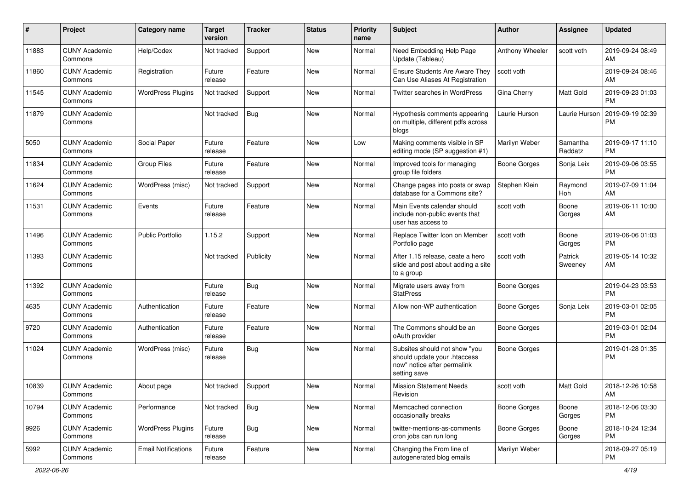| #     | Project                         | <b>Category name</b>       | Target<br>version | <b>Tracker</b> | <b>Status</b> | <b>Priority</b><br>name | <b>Subject</b>                                                                                               | Author              | <b>Assignee</b>     | <b>Updated</b>                |
|-------|---------------------------------|----------------------------|-------------------|----------------|---------------|-------------------------|--------------------------------------------------------------------------------------------------------------|---------------------|---------------------|-------------------------------|
| 11883 | <b>CUNY Academic</b><br>Commons | Help/Codex                 | Not tracked       | Support        | <b>New</b>    | Normal                  | Need Embedding Help Page<br>Update (Tableau)                                                                 | Anthony Wheeler     | scott voth          | 2019-09-24 08:49<br>AM        |
| 11860 | <b>CUNY Academic</b><br>Commons | Registration               | Future<br>release | Feature        | New           | Normal                  | Ensure Students Are Aware They<br>Can Use Aliases At Registration                                            | scott voth          |                     | 2019-09-24 08:46<br>AM        |
| 11545 | <b>CUNY Academic</b><br>Commons | <b>WordPress Plugins</b>   | Not tracked       | Support        | New           | Normal                  | Twitter searches in WordPress                                                                                | Gina Cherry         | Matt Gold           | 2019-09-23 01:03<br><b>PM</b> |
| 11879 | <b>CUNY Academic</b><br>Commons |                            | Not tracked       | <b>Bug</b>     | <b>New</b>    | Normal                  | Hypothesis comments appearing<br>on multiple, different pdfs across<br>blogs                                 | Laurie Hurson       | Laurie Hurson       | 2019-09-19 02:39<br><b>PM</b> |
| 5050  | <b>CUNY Academic</b><br>Commons | Social Paper               | Future<br>release | Feature        | <b>New</b>    | Low                     | Making comments visible in SP<br>editing mode (SP suggestion #1)                                             | Marilyn Weber       | Samantha<br>Raddatz | 2019-09-17 11:10<br><b>PM</b> |
| 11834 | <b>CUNY Academic</b><br>Commons | Group Files                | Future<br>release | Feature        | <b>New</b>    | Normal                  | Improved tools for managing<br>group file folders                                                            | Boone Gorges        | Sonja Leix          | 2019-09-06 03:55<br>PM        |
| 11624 | <b>CUNY Academic</b><br>Commons | WordPress (misc)           | Not tracked       | Support        | New           | Normal                  | Change pages into posts or swap<br>database for a Commons site?                                              | Stephen Klein       | Raymond<br>Hoh      | 2019-07-09 11:04<br>AM        |
| 11531 | <b>CUNY Academic</b><br>Commons | Events                     | Future<br>release | Feature        | New           | Normal                  | Main Events calendar should<br>include non-public events that<br>user has access to                          | scott voth          | Boone<br>Gorges     | 2019-06-11 10:00<br>AM        |
| 11496 | <b>CUNY Academic</b><br>Commons | <b>Public Portfolio</b>    | 1.15.2            | Support        | <b>New</b>    | Normal                  | Replace Twitter Icon on Member<br>Portfolio page                                                             | scott voth          | Boone<br>Gorges     | 2019-06-06 01:03<br><b>PM</b> |
| 11393 | <b>CUNY Academic</b><br>Commons |                            | Not tracked       | Publicity      | <b>New</b>    | Normal                  | After 1.15 release, ceate a hero<br>slide and post about adding a site<br>to a group                         | scott voth          | Patrick<br>Sweeney  | 2019-05-14 10:32<br>AM        |
| 11392 | <b>CUNY Academic</b><br>Commons |                            | Future<br>release | <b>Bug</b>     | <b>New</b>    | Normal                  | Migrate users away from<br><b>StatPress</b>                                                                  | <b>Boone Gorges</b> |                     | 2019-04-23 03:53<br><b>PM</b> |
| 4635  | <b>CUNY Academic</b><br>Commons | Authentication             | Future<br>release | Feature        | <b>New</b>    | Normal                  | Allow non-WP authentication                                                                                  | <b>Boone Gorges</b> | Sonja Leix          | 2019-03-01 02:05<br><b>PM</b> |
| 9720  | <b>CUNY Academic</b><br>Commons | Authentication             | Future<br>release | Feature        | New           | Normal                  | The Commons should be an<br>oAuth provider                                                                   | <b>Boone Gorges</b> |                     | 2019-03-01 02:04<br><b>PM</b> |
| 11024 | <b>CUNY Academic</b><br>Commons | WordPress (misc)           | Future<br>release | Bug            | <b>New</b>    | Normal                  | Subsites should not show "you<br>should update your .htaccess<br>now" notice after permalink<br>setting save | <b>Boone Gorges</b> |                     | 2019-01-28 01:35<br><b>PM</b> |
| 10839 | <b>CUNY Academic</b><br>Commons | About page                 | Not tracked       | Support        | New           | Normal                  | <b>Mission Statement Needs</b><br>Revision                                                                   | scott voth          | <b>Matt Gold</b>    | 2018-12-26 10:58<br>AM        |
| 10794 | <b>CUNY Academic</b><br>Commons | Performance                | Not tracked       | Bug            | New           | Normal                  | Memcached connection<br>occasionally breaks                                                                  | <b>Boone Gorges</b> | Boone<br>Gorges     | 2018-12-06 03:30<br>PM        |
| 9926  | <b>CUNY Academic</b><br>Commons | <b>WordPress Plugins</b>   | Future<br>release | <b>Bug</b>     | New           | Normal                  | twitter-mentions-as-comments<br>cron jobs can run long                                                       | <b>Boone Gorges</b> | Boone<br>Gorges     | 2018-10-24 12:34<br><b>PM</b> |
| 5992  | <b>CUNY Academic</b><br>Commons | <b>Email Notifications</b> | Future<br>release | Feature        | New           | Normal                  | Changing the From line of<br>autogenerated blog emails                                                       | Marilyn Weber       |                     | 2018-09-27 05:19<br>PM        |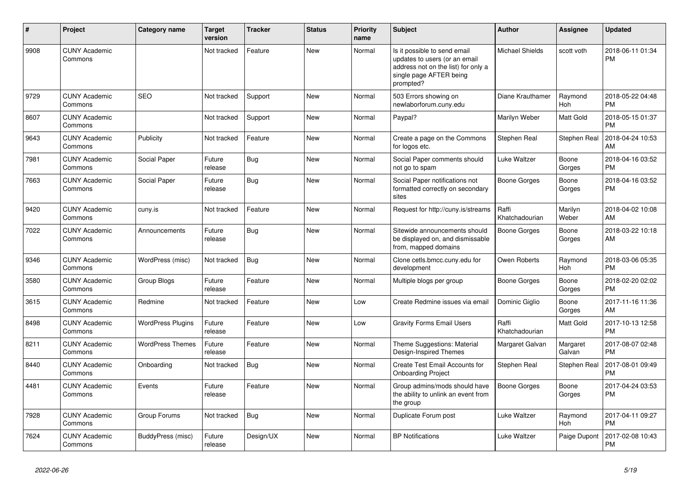| #    | <b>Project</b>                  | Category name            | <b>Target</b><br>version | Tracker    | <b>Status</b> | <b>Priority</b><br>name | <b>Subject</b>                                                                                                                               | <b>Author</b>           | Assignee              | <b>Updated</b>                |
|------|---------------------------------|--------------------------|--------------------------|------------|---------------|-------------------------|----------------------------------------------------------------------------------------------------------------------------------------------|-------------------------|-----------------------|-------------------------------|
| 9908 | <b>CUNY Academic</b><br>Commons |                          | Not tracked              | Feature    | <b>New</b>    | Normal                  | Is it possible to send email<br>updates to users (or an email<br>address not on the list) for only a<br>single page AFTER being<br>prompted? | <b>Michael Shields</b>  | scott voth            | 2018-06-11 01:34<br><b>PM</b> |
| 9729 | <b>CUNY Academic</b><br>Commons | <b>SEO</b>               | Not tracked              | Support    | <b>New</b>    | Normal                  | 503 Errors showing on<br>newlaborforum.cuny.edu                                                                                              | Diane Krauthamer        | Raymond<br>Hoh        | 2018-05-22 04:48<br><b>PM</b> |
| 8607 | <b>CUNY Academic</b><br>Commons |                          | Not tracked              | Support    | <b>New</b>    | Normal                  | Paypal?                                                                                                                                      | Marilyn Weber           | Matt Gold             | 2018-05-15 01:37<br><b>PM</b> |
| 9643 | <b>CUNY Academic</b><br>Commons | Publicity                | Not tracked              | Feature    | <b>New</b>    | Normal                  | Create a page on the Commons<br>for logos etc.                                                                                               | Stephen Real            | Stephen Real          | 2018-04-24 10:53<br>AM        |
| 7981 | <b>CUNY Academic</b><br>Commons | Social Paper             | Future<br>release        | <b>Bug</b> | <b>New</b>    | Normal                  | Social Paper comments should<br>not go to spam                                                                                               | <b>Luke Waltzer</b>     | Boone<br>Gorges       | 2018-04-16 03:52<br><b>PM</b> |
| 7663 | <b>CUNY Academic</b><br>Commons | Social Paper             | Future<br>release        | <b>Bug</b> | <b>New</b>    | Normal                  | Social Paper notifications not<br>formatted correctly on secondary<br>sites                                                                  | <b>Boone Gorges</b>     | Boone<br>Gorges       | 2018-04-16 03:52<br><b>PM</b> |
| 9420 | <b>CUNY Academic</b><br>Commons | cuny.is                  | Not tracked              | Feature    | New           | Normal                  | Request for http://cuny.is/streams                                                                                                           | Raffi<br>Khatchadourian | Marilyn<br>Weber      | 2018-04-02 10:08<br>AM        |
| 7022 | <b>CUNY Academic</b><br>Commons | Announcements            | Future<br>release        | <b>Bug</b> | <b>New</b>    | Normal                  | Sitewide announcements should<br>be displayed on, and dismissable<br>from, mapped domains                                                    | <b>Boone Gorges</b>     | Boone<br>Gorges       | 2018-03-22 10:18<br>AM        |
| 9346 | <b>CUNY Academic</b><br>Commons | WordPress (misc)         | Not tracked              | Bug        | <b>New</b>    | Normal                  | Clone cetls.bmcc.cuny.edu for<br>development                                                                                                 | Owen Roberts            | Raymond<br><b>Hoh</b> | 2018-03-06 05:35<br><b>PM</b> |
| 3580 | <b>CUNY Academic</b><br>Commons | <b>Group Blogs</b>       | Future<br>release        | Feature    | <b>New</b>    | Normal                  | Multiple blogs per group                                                                                                                     | <b>Boone Gorges</b>     | Boone<br>Gorges       | 2018-02-20 02:02<br><b>PM</b> |
| 3615 | <b>CUNY Academic</b><br>Commons | Redmine                  | Not tracked              | Feature    | <b>New</b>    | Low                     | Create Redmine issues via email                                                                                                              | Dominic Giglio          | Boone<br>Gorges       | 2017-11-16 11:36<br>AM        |
| 8498 | <b>CUNY Academic</b><br>Commons | <b>WordPress Plugins</b> | Future<br>release        | Feature    | <b>New</b>    | Low                     | <b>Gravity Forms Email Users</b>                                                                                                             | Raffi<br>Khatchadourian | Matt Gold             | 2017-10-13 12:58<br><b>PM</b> |
| 8211 | <b>CUNY Academic</b><br>Commons | <b>WordPress Themes</b>  | Future<br>release        | Feature    | <b>New</b>    | Normal                  | Theme Suggestions: Material<br>Design-Inspired Themes                                                                                        | Margaret Galvan         | Margaret<br>Galvan    | 2017-08-07 02:48<br><b>PM</b> |
| 8440 | <b>CUNY Academic</b><br>Commons | Onboarding               | Not tracked              | Bug        | <b>New</b>    | Normal                  | Create Test Email Accounts for<br><b>Onboarding Project</b>                                                                                  | Stephen Real            | Stephen Real          | 2017-08-01 09:49<br><b>PM</b> |
| 4481 | <b>CUNY Academic</b><br>Commons | Events                   | Future<br>release        | Feature    | <b>New</b>    | Normal                  | Group admins/mods should have<br>the ability to unlink an event from<br>the group                                                            | <b>Boone Gorges</b>     | Boone<br>Gorges       | 2017-04-24 03:53<br><b>PM</b> |
| 7928 | <b>CUNY Academic</b><br>Commons | Group Forums             | Not tracked              | Bug        | New           | Normal                  | Duplicate Forum post                                                                                                                         | Luke Waltzer            | Raymond<br><b>Hoh</b> | 2017-04-11 09:27<br><b>PM</b> |
| 7624 | <b>CUNY Academic</b><br>Commons | BuddyPress (misc)        | Future<br>release        | Design/UX  | <b>New</b>    | Normal                  | <b>BP</b> Notifications                                                                                                                      | <b>Luke Waltzer</b>     | Paige Dupont          | 2017-02-08 10:43<br><b>PM</b> |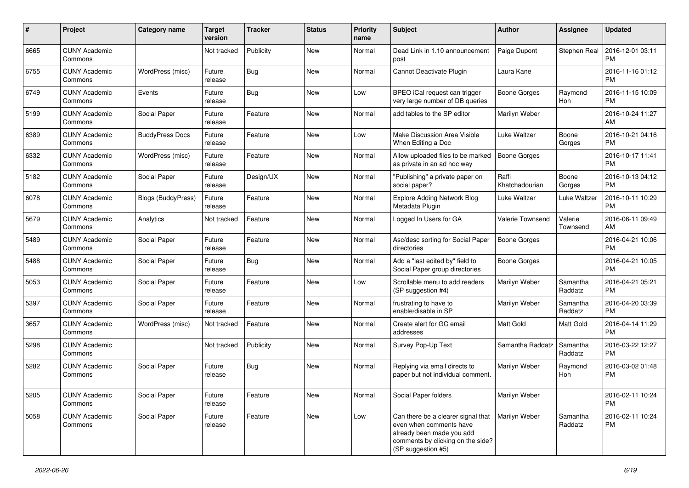| #    | Project                         | <b>Category name</b>      | <b>Target</b><br>version | <b>Tracker</b> | <b>Status</b> | <b>Priority</b><br>name | Subject                                                                                                                                               | Author                  | <b>Assignee</b>     | <b>Updated</b>                |
|------|---------------------------------|---------------------------|--------------------------|----------------|---------------|-------------------------|-------------------------------------------------------------------------------------------------------------------------------------------------------|-------------------------|---------------------|-------------------------------|
| 6665 | <b>CUNY Academic</b><br>Commons |                           | Not tracked              | Publicity      | <b>New</b>    | Normal                  | Dead Link in 1.10 announcement<br>post                                                                                                                | Paige Dupont            | Stephen Real        | 2016-12-01 03:11<br>PM        |
| 6755 | <b>CUNY Academic</b><br>Commons | WordPress (misc)          | Future<br>release        | <b>Bug</b>     | New           | Normal                  | Cannot Deactivate Plugin                                                                                                                              | Laura Kane              |                     | 2016-11-16 01:12<br><b>PM</b> |
| 6749 | <b>CUNY Academic</b><br>Commons | Events                    | Future<br>release        | Bug            | New           | Low                     | BPEO iCal request can trigger<br>very large number of DB queries                                                                                      | <b>Boone Gorges</b>     | Raymond<br>Hoh      | 2016-11-15 10:09<br><b>PM</b> |
| 5199 | <b>CUNY Academic</b><br>Commons | Social Paper              | Future<br>release        | Feature        | <b>New</b>    | Normal                  | add tables to the SP editor                                                                                                                           | Marilyn Weber           |                     | 2016-10-24 11:27<br>AM        |
| 6389 | <b>CUNY Academic</b><br>Commons | <b>BuddyPress Docs</b>    | Future<br>release        | Feature        | <b>New</b>    | Low                     | Make Discussion Area Visible<br>When Editing a Doc                                                                                                    | Luke Waltzer            | Boone<br>Gorges     | 2016-10-21 04:16<br><b>PM</b> |
| 6332 | <b>CUNY Academic</b><br>Commons | WordPress (misc)          | Future<br>release        | Feature        | <b>New</b>    | Normal                  | Allow uploaded files to be marked<br>as private in an ad hoc way                                                                                      | <b>Boone Gorges</b>     |                     | 2016-10-17 11:41<br><b>PM</b> |
| 5182 | <b>CUNY Academic</b><br>Commons | Social Paper              | Future<br>release        | Design/UX      | New           | Normal                  | "Publishing" a private paper on<br>social paper?                                                                                                      | Raffi<br>Khatchadourian | Boone<br>Gorges     | 2016-10-13 04:12<br><b>PM</b> |
| 6078 | <b>CUNY Academic</b><br>Commons | <b>Blogs (BuddyPress)</b> | Future<br>release        | Feature        | <b>New</b>    | Normal                  | <b>Explore Adding Network Blog</b><br>Metadata Plugin                                                                                                 | <b>Luke Waltzer</b>     | Luke Waltzer        | 2016-10-11 10:29<br><b>PM</b> |
| 5679 | <b>CUNY Academic</b><br>Commons | Analytics                 | Not tracked              | Feature        | New           | Normal                  | Logged In Users for GA                                                                                                                                | Valerie Townsend        | Valerie<br>Townsend | 2016-06-11 09:49<br>AM        |
| 5489 | <b>CUNY Academic</b><br>Commons | Social Paper              | Future<br>release        | Feature        | <b>New</b>    | Normal                  | Asc/desc sorting for Social Paper<br>directories                                                                                                      | <b>Boone Gorges</b>     |                     | 2016-04-21 10:06<br><b>PM</b> |
| 5488 | <b>CUNY Academic</b><br>Commons | Social Paper              | Future<br>release        | Bug            | <b>New</b>    | Normal                  | Add a "last edited by" field to<br>Social Paper group directories                                                                                     | <b>Boone Gorges</b>     |                     | 2016-04-21 10:05<br><b>PM</b> |
| 5053 | <b>CUNY Academic</b><br>Commons | Social Paper              | Future<br>release        | Feature        | <b>New</b>    | Low                     | Scrollable menu to add readers<br>(SP suggestion #4)                                                                                                  | Marilyn Weber           | Samantha<br>Raddatz | 2016-04-21 05:21<br><b>PM</b> |
| 5397 | <b>CUNY Academic</b><br>Commons | Social Paper              | Future<br>release        | Feature        | New           | Normal                  | frustrating to have to<br>enable/disable in SP                                                                                                        | Marilyn Weber           | Samantha<br>Raddatz | 2016-04-20 03:39<br><b>PM</b> |
| 3657 | <b>CUNY Academic</b><br>Commons | WordPress (misc)          | Not tracked              | Feature        | <b>New</b>    | Normal                  | Create alert for GC email<br>addresses                                                                                                                | Matt Gold               | Matt Gold           | 2016-04-14 11:29<br><b>PM</b> |
| 5298 | <b>CUNY Academic</b><br>Commons |                           | Not tracked              | Publicity      | <b>New</b>    | Normal                  | Survey Pop-Up Text                                                                                                                                    | Samantha Raddatz        | Samantha<br>Raddatz | 2016-03-22 12:27<br><b>PM</b> |
| 5282 | <b>CUNY Academic</b><br>Commons | Social Paper              | Future<br>release        | Bug            | New           | Normal                  | Replying via email directs to<br>paper but not individual comment.                                                                                    | Marilyn Weber           | Raymond<br>Hoh      | 2016-03-02 01:48<br><b>PM</b> |
| 5205 | <b>CUNY Academic</b><br>Commons | Social Paper              | Future<br>release        | Feature        | New           | Normal                  | Social Paper folders                                                                                                                                  | Marilyn Weber           |                     | 2016-02-11 10:24<br>PM        |
| 5058 | <b>CUNY Academic</b><br>Commons | Social Paper              | Future<br>release        | Feature        | New           | Low                     | Can there be a clearer signal that<br>even when comments have<br>already been made you add<br>comments by clicking on the side?<br>(SP suggestion #5) | Marilyn Weber           | Samantha<br>Raddatz | 2016-02-11 10:24<br><b>PM</b> |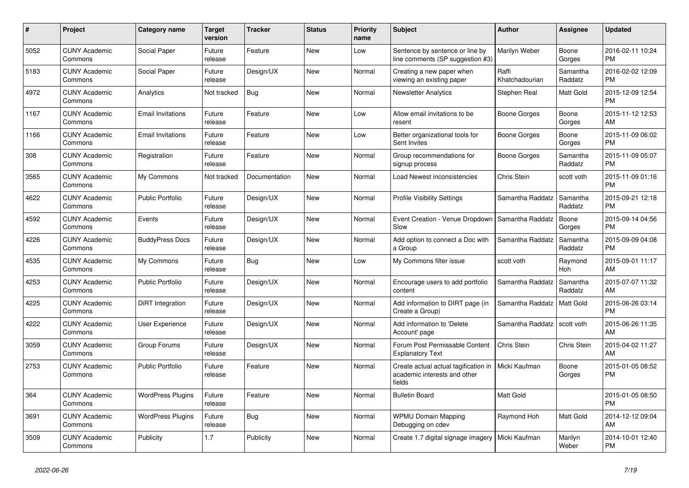| $\#$ | Project                         | <b>Category name</b>     | <b>Target</b><br>version | <b>Tracker</b> | <b>Status</b> | <b>Priority</b><br>name | <b>Subject</b>                                                                 | Author                  | Assignee            | <b>Updated</b>                |
|------|---------------------------------|--------------------------|--------------------------|----------------|---------------|-------------------------|--------------------------------------------------------------------------------|-------------------------|---------------------|-------------------------------|
| 5052 | <b>CUNY Academic</b><br>Commons | Social Paper             | Future<br>release        | Feature        | <b>New</b>    | Low                     | Sentence by sentence or line by<br>line comments (SP suggestion #3)            | Marilyn Weber           | Boone<br>Gorges     | 2016-02-11 10:24<br><b>PM</b> |
| 5183 | <b>CUNY Academic</b><br>Commons | Social Paper             | Future<br>release        | Design/UX      | <b>New</b>    | Normal                  | Creating a new paper when<br>viewing an existing paper                         | Raffi<br>Khatchadourian | Samantha<br>Raddatz | 2016-02-02 12:09<br><b>PM</b> |
| 4972 | <b>CUNY Academic</b><br>Commons | Analytics                | Not tracked              | Bug            | <b>New</b>    | Normal                  | <b>Newsletter Analytics</b>                                                    | Stephen Real            | Matt Gold           | 2015-12-09 12:54<br><b>PM</b> |
| 1167 | <b>CUNY Academic</b><br>Commons | <b>Email Invitations</b> | Future<br>release        | Feature        | <b>New</b>    | Low                     | Allow email invitations to be<br>resent                                        | Boone Gorges            | Boone<br>Gorges     | 2015-11-12 12:53<br>AM        |
| 1166 | <b>CUNY Academic</b><br>Commons | <b>Email Invitations</b> | Future<br>release        | Feature        | <b>New</b>    | Low                     | Better organizational tools for<br>Sent Invites                                | Boone Gorges            | Boone<br>Gorges     | 2015-11-09 06:02<br><b>PM</b> |
| 308  | <b>CUNY Academic</b><br>Commons | Registration             | Future<br>release        | Feature        | New           | Normal                  | Group recommendations for<br>signup process                                    | Boone Gorges            | Samantha<br>Raddatz | 2015-11-09 05:07<br><b>PM</b> |
| 3565 | <b>CUNY Academic</b><br>Commons | My Commons               | Not tracked              | Documentation  | <b>New</b>    | Normal                  | Load Newest inconsistencies                                                    | Chris Stein             | scott voth          | 2015-11-09 01:16<br><b>PM</b> |
| 4622 | <b>CUNY Academic</b><br>Commons | <b>Public Portfolio</b>  | Future<br>release        | Design/UX      | <b>New</b>    | Normal                  | <b>Profile Visibility Settings</b>                                             | Samantha Raddatz        | Samantha<br>Raddatz | 2015-09-21 12:18<br><b>PM</b> |
| 4592 | <b>CUNY Academic</b><br>Commons | Events                   | Future<br>release        | Design/UX      | <b>New</b>    | Normal                  | Event Creation - Venue Dropdown<br>Slow                                        | Samantha Raddatz        | Boone<br>Gorges     | 2015-09-14 04:56<br><b>PM</b> |
| 4226 | <b>CUNY Academic</b><br>Commons | <b>BuddyPress Docs</b>   | Future<br>release        | Design/UX      | <b>New</b>    | Normal                  | Add option to connect a Doc with<br>a Group                                    | Samantha Raddatz        | Samantha<br>Raddatz | 2015-09-09 04:08<br><b>PM</b> |
| 4535 | <b>CUNY Academic</b><br>Commons | My Commons               | Future<br>release        | Bug            | <b>New</b>    | Low                     | My Commons filter issue                                                        | scott voth              | Raymond<br>Hoh      | 2015-09-01 11:17<br>AM        |
| 4253 | <b>CUNY Academic</b><br>Commons | <b>Public Portfolio</b>  | Future<br>release        | Design/UX      | <b>New</b>    | Normal                  | Encourage users to add portfolio<br>content                                    | Samantha Raddatz        | Samantha<br>Raddatz | 2015-07-07 11:32<br>AM        |
| 4225 | <b>CUNY Academic</b><br>Commons | DiRT Integration         | Future<br>release        | Design/UX      | New           | Normal                  | Add information to DIRT page (in<br>Create a Group)                            | Samantha Raddatz        | <b>Matt Gold</b>    | 2015-06-26 03:14<br><b>PM</b> |
| 4222 | <b>CUNY Academic</b><br>Commons | User Experience          | Future<br>release        | Design/UX      | <b>New</b>    | Normal                  | Add information to 'Delete<br>Account' page                                    | Samantha Raddatz        | scott voth          | 2015-06-26 11:35<br>AM        |
| 3059 | <b>CUNY Academic</b><br>Commons | Group Forums             | Future<br>release        | Design/UX      | <b>New</b>    | Normal                  | Forum Post Permissable Content<br><b>Explanatory Text</b>                      | Chris Stein             | Chris Stein         | 2015-04-02 11:27<br>AM        |
| 2753 | <b>CUNY Academic</b><br>Commons | <b>Public Portfolio</b>  | Future<br>release        | Feature        | <b>New</b>    | Normal                  | Create actual actual tagification in<br>academic interests and other<br>fields | Micki Kaufman           | Boone<br>Gorges     | 2015-01-05 08:52<br><b>PM</b> |
| 364  | <b>CUNY Academic</b><br>Commons | <b>WordPress Plugins</b> | Future<br>release        | Feature        | <b>New</b>    | Normal                  | <b>Bulletin Board</b>                                                          | Matt Gold               |                     | 2015-01-05 08:50<br><b>PM</b> |
| 3691 | <b>CUNY Academic</b><br>Commons | <b>WordPress Plugins</b> | Future<br>release        | <b>Bug</b>     | New           | Normal                  | <b>WPMU Domain Mapping</b><br>Debugging on cdev                                | Raymond Hoh             | Matt Gold           | 2014-12-12 09:04<br>AM        |
| 3509 | <b>CUNY Academic</b><br>Commons | Publicity                | 1.7                      | Publicity      | <b>New</b>    | Normal                  | Create 1.7 digital signage imagery                                             | Micki Kaufman           | Marilyn<br>Weber    | 2014-10-01 12:40<br><b>PM</b> |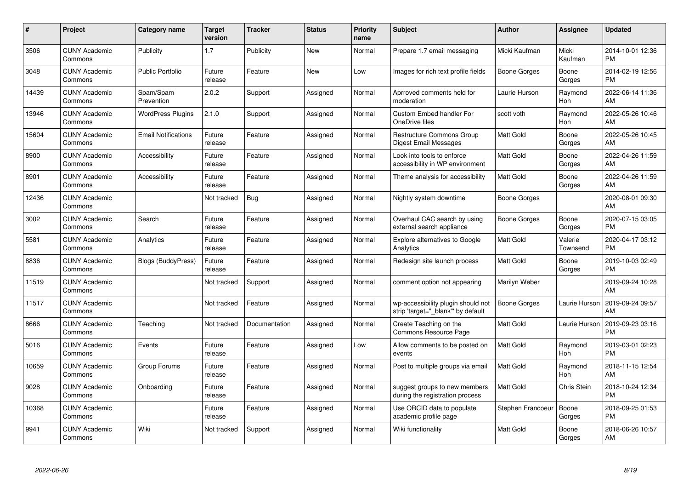| $\pmb{\#}$ | Project                         | <b>Category name</b>       | <b>Target</b><br>version | <b>Tracker</b> | <b>Status</b> | <b>Priority</b><br>name | <b>Subject</b>                                                          | Author              | <b>Assignee</b>       | <b>Updated</b>                |
|------------|---------------------------------|----------------------------|--------------------------|----------------|---------------|-------------------------|-------------------------------------------------------------------------|---------------------|-----------------------|-------------------------------|
| 3506       | <b>CUNY Academic</b><br>Commons | Publicity                  | 1.7                      | Publicity      | <b>New</b>    | Normal                  | Prepare 1.7 email messaging                                             | Micki Kaufman       | Micki<br>Kaufman      | 2014-10-01 12:36<br><b>PM</b> |
| 3048       | <b>CUNY Academic</b><br>Commons | <b>Public Portfolio</b>    | Future<br>release        | Feature        | <b>New</b>    | Low                     | Images for rich text profile fields                                     | Boone Gorges        | Boone<br>Gorges       | 2014-02-19 12:56<br><b>PM</b> |
| 14439      | <b>CUNY Academic</b><br>Commons | Spam/Spam<br>Prevention    | 2.0.2                    | Support        | Assigned      | Normal                  | Aprroved comments held for<br>moderation                                | Laurie Hurson       | Raymond<br>Hoh        | 2022-06-14 11:36<br>AM        |
| 13946      | <b>CUNY Academic</b><br>Commons | <b>WordPress Plugins</b>   | 2.1.0                    | Support        | Assigned      | Normal                  | <b>Custom Embed handler For</b><br>OneDrive files                       | scott voth          | Raymond<br>Hoh        | 2022-05-26 10:46<br>AM        |
| 15604      | <b>CUNY Academic</b><br>Commons | <b>Email Notifications</b> | Future<br>release        | Feature        | Assigned      | Normal                  | <b>Restructure Commons Group</b><br>Digest Email Messages               | <b>Matt Gold</b>    | Boone<br>Gorges       | 2022-05-26 10:45<br>AM        |
| 8900       | <b>CUNY Academic</b><br>Commons | Accessibility              | Future<br>release        | Feature        | Assigned      | Normal                  | Look into tools to enforce<br>accessibility in WP environment           | Matt Gold           | Boone<br>Gorges       | 2022-04-26 11:59<br>AM        |
| 8901       | <b>CUNY Academic</b><br>Commons | Accessibility              | Future<br>release        | Feature        | Assigned      | Normal                  | Theme analysis for accessibility                                        | <b>Matt Gold</b>    | Boone<br>Gorges       | 2022-04-26 11:59<br>AM        |
| 12436      | <b>CUNY Academic</b><br>Commons |                            | Not tracked              | <b>Bug</b>     | Assigned      | Normal                  | Nightly system downtime                                                 | Boone Gorges        |                       | 2020-08-01 09:30<br>AM        |
| 3002       | <b>CUNY Academic</b><br>Commons | Search                     | Future<br>release        | Feature        | Assigned      | Normal                  | Overhaul CAC search by using<br>external search appliance               | <b>Boone Gorges</b> | Boone<br>Gorges       | 2020-07-15 03:05<br><b>PM</b> |
| 5581       | <b>CUNY Academic</b><br>Commons | Analytics                  | Future<br>release        | Feature        | Assigned      | Normal                  | <b>Explore alternatives to Google</b><br>Analytics                      | <b>Matt Gold</b>    | Valerie<br>Townsend   | 2020-04-17 03:12<br><b>PM</b> |
| 8836       | <b>CUNY Academic</b><br>Commons | Blogs (BuddyPress)         | Future<br>release        | Feature        | Assigned      | Normal                  | Redesign site launch process                                            | <b>Matt Gold</b>    | Boone<br>Gorges       | 2019-10-03 02:49<br><b>PM</b> |
| 11519      | <b>CUNY Academic</b><br>Commons |                            | Not tracked              | Support        | Assigned      | Normal                  | comment option not appearing                                            | Marilyn Weber       |                       | 2019-09-24 10:28<br>AM        |
| 11517      | <b>CUNY Academic</b><br>Commons |                            | Not tracked              | Feature        | Assigned      | Normal                  | wp-accessibility plugin should not<br>strip 'target=" blank" by default | <b>Boone Gorges</b> | Laurie Hurson         | 2019-09-24 09:57<br>AM        |
| 8666       | <b>CUNY Academic</b><br>Commons | Teaching                   | Not tracked              | Documentation  | Assigned      | Normal                  | Create Teaching on the<br>Commons Resource Page                         | <b>Matt Gold</b>    | Laurie Hurson         | 2019-09-23 03:16<br><b>PM</b> |
| 5016       | <b>CUNY Academic</b><br>Commons | Events                     | Future<br>release        | Feature        | Assigned      | Low                     | Allow comments to be posted on<br>events                                | <b>Matt Gold</b>    | Raymond<br>Hoh        | 2019-03-01 02:23<br><b>PM</b> |
| 10659      | <b>CUNY Academic</b><br>Commons | Group Forums               | Future<br>release        | Feature        | Assigned      | Normal                  | Post to multiple groups via email                                       | <b>Matt Gold</b>    | Raymond<br><b>Hoh</b> | 2018-11-15 12:54<br>AM        |
| 9028       | <b>CUNY Academic</b><br>Commons | Onboarding                 | Future<br>release        | Feature        | Assigned      | Normal                  | suggest groups to new members<br>during the registration process        | <b>Matt Gold</b>    | Chris Stein           | 2018-10-24 12:34<br><b>PM</b> |
| 10368      | <b>CUNY Academic</b><br>Commons |                            | Future<br>release        | Feature        | Assigned      | Normal                  | Use ORCID data to populate<br>academic profile page                     | Stephen Francoeur   | Boone<br>Gorges       | 2018-09-25 01:53<br><b>PM</b> |
| 9941       | <b>CUNY Academic</b><br>Commons | Wiki                       | Not tracked              | Support        | Assigned      | Normal                  | Wiki functionality                                                      | <b>Matt Gold</b>    | Boone<br>Gorges       | 2018-06-26 10:57<br>AM        |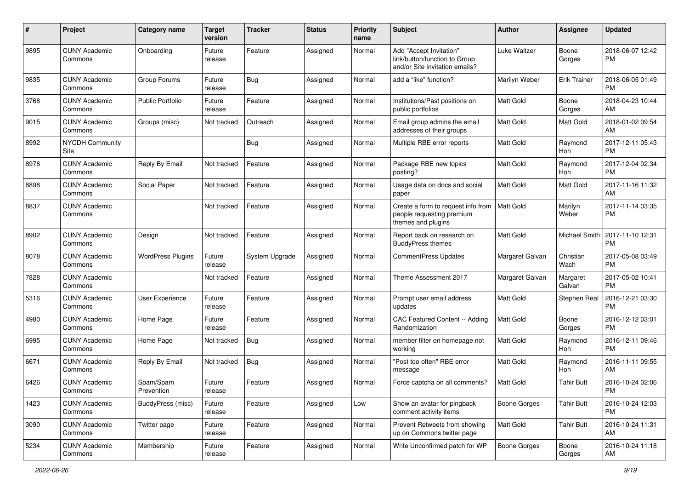| $\#$ | Project                         | <b>Category name</b>     | <b>Target</b><br>version | Tracker        | <b>Status</b> | <b>Priority</b><br>name | Subject                                                                                    | Author              | <b>Assignee</b>     | <b>Updated</b>                |
|------|---------------------------------|--------------------------|--------------------------|----------------|---------------|-------------------------|--------------------------------------------------------------------------------------------|---------------------|---------------------|-------------------------------|
| 9895 | <b>CUNY Academic</b><br>Commons | Onboarding               | Future<br>release        | Feature        | Assigned      | Normal                  | Add "Accept Invitation"<br>link/button/function to Group<br>and/or Site invitation emails? | <b>Luke Waltzer</b> | Boone<br>Gorges     | 2018-06-07 12:42<br><b>PM</b> |
| 9835 | <b>CUNY Academic</b><br>Commons | Group Forums             | Future<br>release        | Bug            | Assigned      | Normal                  | add a "like" function?                                                                     | Marilyn Weber       | <b>Erik Trainer</b> | 2018-06-05 01:49<br><b>PM</b> |
| 3768 | <b>CUNY Academic</b><br>Commons | <b>Public Portfolio</b>  | Future<br>release        | Feature        | Assigned      | Normal                  | Institutions/Past positions on<br>public portfolios                                        | Matt Gold           | Boone<br>Gorges     | 2018-04-23 10:44<br>AM        |
| 9015 | <b>CUNY Academic</b><br>Commons | Groups (misc)            | Not tracked              | Outreach       | Assigned      | Normal                  | Email group admins the email<br>addresses of their groups                                  | <b>Matt Gold</b>    | Matt Gold           | 2018-01-02 09:54<br>AM        |
| 8992 | <b>NYCDH Community</b><br>Site  |                          |                          | <b>Bug</b>     | Assigned      | Normal                  | Multiple RBE error reports                                                                 | <b>Matt Gold</b>    | Raymond<br>Hoh      | 2017-12-11 05:43<br><b>PM</b> |
| 8976 | <b>CUNY Academic</b><br>Commons | Reply By Email           | Not tracked              | Feature        | Assigned      | Normal                  | Package RBE new topics<br>posting?                                                         | Matt Gold           | Raymond<br>Hoh      | 2017-12-04 02:34<br><b>PM</b> |
| 8898 | <b>CUNY Academic</b><br>Commons | Social Paper             | Not tracked              | Feature        | Assigned      | Normal                  | Usage data on docs and social<br>paper                                                     | Matt Gold           | Matt Gold           | 2017-11-16 11:32<br>AM        |
| 8837 | <b>CUNY Academic</b><br>Commons |                          | Not tracked              | Feature        | Assigned      | Normal                  | Create a form to request info from<br>people requesting premium<br>themes and plugins      | Matt Gold           | Marilyn<br>Weber    | 2017-11-14 03:35<br><b>PM</b> |
| 8902 | <b>CUNY Academic</b><br>Commons | Design                   | Not tracked              | Feature        | Assigned      | Normal                  | Report back on research on<br><b>BuddyPress themes</b>                                     | Matt Gold           | Michael Smith       | 2017-11-10 12:31<br><b>PM</b> |
| 8078 | <b>CUNY Academic</b><br>Commons | <b>WordPress Plugins</b> | Future<br>release        | System Upgrade | Assigned      | Normal                  | CommentPress Updates                                                                       | Margaret Galvan     | Christian<br>Wach   | 2017-05-08 03:49<br><b>PM</b> |
| 7828 | <b>CUNY Academic</b><br>Commons |                          | Not tracked              | Feature        | Assigned      | Normal                  | Theme Assessment 2017                                                                      | Margaret Galvan     | Margaret<br>Galvan  | 2017-05-02 10:41<br><b>PM</b> |
| 5316 | <b>CUNY Academic</b><br>Commons | User Experience          | Future<br>release        | Feature        | Assigned      | Normal                  | Prompt user email address<br>updates                                                       | Matt Gold           | Stephen Real        | 2016-12-21 03:30<br><b>PM</b> |
| 4980 | <b>CUNY Academic</b><br>Commons | Home Page                | Future<br>release        | Feature        | Assigned      | Normal                  | CAC Featured Content -- Adding<br>Randomization                                            | Matt Gold           | Boone<br>Gorges     | 2016-12-12 03:01<br><b>PM</b> |
| 6995 | <b>CUNY Academic</b><br>Commons | Home Page                | Not tracked              | <b>Bug</b>     | Assigned      | Normal                  | member filter on homepage not<br>working                                                   | <b>Matt Gold</b>    | Raymond<br>Hoh      | 2016-12-11 09:46<br><b>PM</b> |
| 6671 | <b>CUNY Academic</b><br>Commons | Reply By Email           | Not tracked              | <b>Bug</b>     | Assigned      | Normal                  | "Post too often" RBE error<br>message                                                      | <b>Matt Gold</b>    | Raymond<br>Hoh      | 2016-11-11 09:55<br>AM        |
| 6426 | <b>CUNY Academic</b><br>Commons | Spam/Spam<br>Prevention  | Future<br>release        | Feature        | Assigned      | Normal                  | Force captcha on all comments?                                                             | Matt Gold           | <b>Tahir Butt</b>   | 2016-10-24 02:06<br>PM        |
| 1423 | <b>CUNY Academic</b><br>Commons | BuddyPress (misc)        | Future<br>release        | Feature        | Assigned      | Low                     | Show an avatar for pingback<br>comment activity items                                      | Boone Gorges        | <b>Tahir Butt</b>   | 2016-10-24 12:03<br>PM        |
| 3090 | <b>CUNY Academic</b><br>Commons | Twitter page             | Future<br>release        | Feature        | Assigned      | Normal                  | Prevent Retweets from showing<br>up on Commons twitter page                                | Matt Gold           | <b>Tahir Butt</b>   | 2016-10-24 11:31<br>AM        |
| 5234 | <b>CUNY Academic</b><br>Commons | Membership               | Future<br>release        | Feature        | Assigned      | Normal                  | Write Unconfirmed patch for WP                                                             | Boone Gorges        | Boone<br>Gorges     | 2016-10-24 11:18<br>AM        |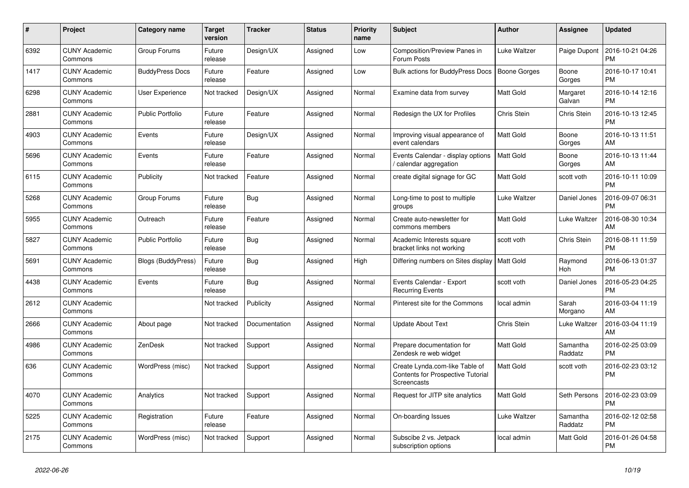| $\pmb{\#}$ | Project                         | Category name             | <b>Target</b><br>version | <b>Tracker</b> | <b>Status</b> | <b>Priority</b><br>name | <b>Subject</b>                                                                     | <b>Author</b>    | <b>Assignee</b>     | <b>Updated</b>                |
|------------|---------------------------------|---------------------------|--------------------------|----------------|---------------|-------------------------|------------------------------------------------------------------------------------|------------------|---------------------|-------------------------------|
| 6392       | <b>CUNY Academic</b><br>Commons | Group Forums              | Future<br>release        | Design/UX      | Assigned      | Low                     | Composition/Preview Panes in<br>Forum Posts                                        | Luke Waltzer     | Paige Dupont        | 2016-10-21 04:26<br><b>PM</b> |
| 1417       | <b>CUNY Academic</b><br>Commons | <b>BuddyPress Docs</b>    | Future<br>release        | Feature        | Assigned      | Low                     | <b>Bulk actions for BuddyPress Docs</b>                                            | Boone Gorges     | Boone<br>Gorges     | 2016-10-17 10:41<br><b>PM</b> |
| 6298       | <b>CUNY Academic</b><br>Commons | User Experience           | Not tracked              | Design/UX      | Assigned      | Normal                  | Examine data from survey                                                           | Matt Gold        | Margaret<br>Galvan  | 2016-10-14 12:16<br><b>PM</b> |
| 2881       | <b>CUNY Academic</b><br>Commons | <b>Public Portfolio</b>   | Future<br>release        | Feature        | Assigned      | Normal                  | Redesign the UX for Profiles                                                       | Chris Stein      | Chris Stein         | 2016-10-13 12:45<br><b>PM</b> |
| 4903       | <b>CUNY Academic</b><br>Commons | Events                    | Future<br>release        | Design/UX      | Assigned      | Normal                  | Improving visual appearance of<br>event calendars                                  | <b>Matt Gold</b> | Boone<br>Gorges     | 2016-10-13 11:51<br>AM        |
| 5696       | <b>CUNY Academic</b><br>Commons | Events                    | Future<br>release        | Feature        | Assigned      | Normal                  | Events Calendar - display options<br>calendar aggregation                          | Matt Gold        | Boone<br>Gorges     | 2016-10-13 11:44<br>AM        |
| 6115       | <b>CUNY Academic</b><br>Commons | Publicity                 | Not tracked              | Feature        | Assigned      | Normal                  | create digital signage for GC                                                      | <b>Matt Gold</b> | scott voth          | 2016-10-11 10:09<br><b>PM</b> |
| 5268       | <b>CUNY Academic</b><br>Commons | Group Forums              | Future<br>release        | <b>Bug</b>     | Assigned      | Normal                  | Long-time to post to multiple<br>groups                                            | Luke Waltzer     | Daniel Jones        | 2016-09-07 06:31<br><b>PM</b> |
| 5955       | <b>CUNY Academic</b><br>Commons | Outreach                  | Future<br>release        | Feature        | Assigned      | Normal                  | Create auto-newsletter for<br>commons members                                      | <b>Matt Gold</b> | Luke Waltzer        | 2016-08-30 10:34<br>AM        |
| 5827       | <b>CUNY Academic</b><br>Commons | <b>Public Portfolio</b>   | Future<br>release        | <b>Bug</b>     | Assigned      | Normal                  | Academic Interests square<br>bracket links not working                             | scott voth       | Chris Stein         | 2016-08-11 11:59<br><b>PM</b> |
| 5691       | <b>CUNY Academic</b><br>Commons | <b>Blogs (BuddyPress)</b> | Future<br>release        | Bug            | Assigned      | High                    | Differing numbers on Sites display   Matt Gold                                     |                  | Raymond<br>Hoh      | 2016-06-13 01:37<br><b>PM</b> |
| 4438       | <b>CUNY Academic</b><br>Commons | Events                    | Future<br>release        | Bug            | Assigned      | Normal                  | Events Calendar - Export<br><b>Recurring Events</b>                                | scott voth       | Daniel Jones        | 2016-05-23 04:25<br><b>PM</b> |
| 2612       | <b>CUNY Academic</b><br>Commons |                           | Not tracked              | Publicity      | Assigned      | Normal                  | Pinterest site for the Commons                                                     | local admin      | Sarah<br>Morgano    | 2016-03-04 11:19<br>AM        |
| 2666       | <b>CUNY Academic</b><br>Commons | About page                | Not tracked              | Documentation  | Assigned      | Normal                  | <b>Update About Text</b>                                                           | Chris Stein      | Luke Waltzer        | 2016-03-04 11:19<br>AM        |
| 4986       | <b>CUNY Academic</b><br>Commons | ZenDesk                   | Not tracked              | Support        | Assigned      | Normal                  | Prepare documentation for<br>Zendesk re web widget                                 | <b>Matt Gold</b> | Samantha<br>Raddatz | 2016-02-25 03:09<br><b>PM</b> |
| 636        | <b>CUNY Academic</b><br>Commons | WordPress (misc)          | Not tracked              | Support        | Assigned      | Normal                  | Create Lynda.com-like Table of<br>Contents for Prospective Tutorial<br>Screencasts | <b>Matt Gold</b> | scott voth          | 2016-02-23 03:12<br><b>PM</b> |
| 4070       | <b>CUNY Academic</b><br>Commons | Analytics                 | Not tracked              | Support        | Assigned      | Normal                  | Request for JITP site analytics                                                    | Matt Gold        | Seth Persons        | 2016-02-23 03:09<br><b>PM</b> |
| 5225       | <b>CUNY Academic</b><br>Commons | Registration              | Future<br>release        | Feature        | Assigned      | Normal                  | On-boarding Issues                                                                 | Luke Waltzer     | Samantha<br>Raddatz | 2016-02-12 02:58<br><b>PM</b> |
| 2175       | <b>CUNY Academic</b><br>Commons | WordPress (misc)          | Not tracked              | Support        | Assigned      | Normal                  | Subscibe 2 vs. Jetpack<br>subscription options                                     | local admin      | Matt Gold           | 2016-01-26 04:58<br><b>PM</b> |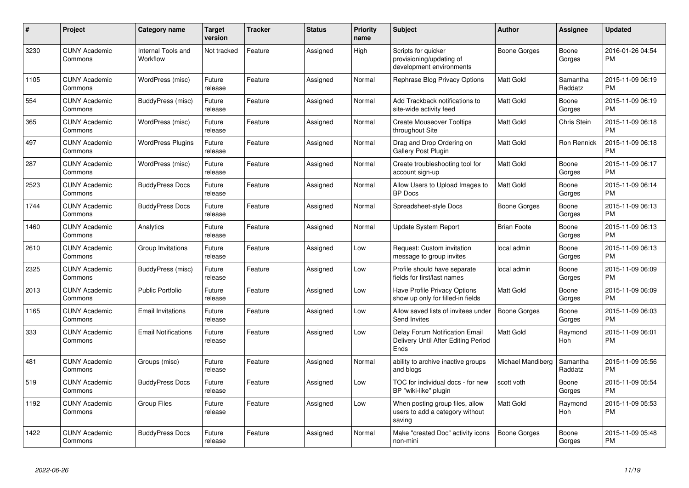| #    | Project                         | <b>Category name</b>           | Target<br>version | Tracker | <b>Status</b> | <b>Priority</b><br>name | <b>Subject</b>                                                                | <b>Author</b>      | Assignee            | <b>Updated</b>                |
|------|---------------------------------|--------------------------------|-------------------|---------|---------------|-------------------------|-------------------------------------------------------------------------------|--------------------|---------------------|-------------------------------|
| 3230 | <b>CUNY Academic</b><br>Commons | Internal Tools and<br>Workflow | Not tracked       | Feature | Assigned      | High                    | Scripts for quicker<br>provisioning/updating of<br>development environments   | Boone Gorges       | Boone<br>Gorges     | 2016-01-26 04:54<br><b>PM</b> |
| 1105 | <b>CUNY Academic</b><br>Commons | WordPress (misc)               | Future<br>release | Feature | Assigned      | Normal                  | Rephrase Blog Privacy Options                                                 | Matt Gold          | Samantha<br>Raddatz | 2015-11-09 06:19<br><b>PM</b> |
| 554  | <b>CUNY Academic</b><br>Commons | BuddyPress (misc)              | Future<br>release | Feature | Assigned      | Normal                  | Add Trackback notifications to<br>site-wide activity feed                     | Matt Gold          | Boone<br>Gorges     | 2015-11-09 06:19<br><b>PM</b> |
| 365  | <b>CUNY Academic</b><br>Commons | WordPress (misc)               | Future<br>release | Feature | Assigned      | Normal                  | <b>Create Mouseover Tooltips</b><br>throughout Site                           | Matt Gold          | Chris Stein         | 2015-11-09 06:18<br><b>PM</b> |
| 497  | <b>CUNY Academic</b><br>Commons | <b>WordPress Plugins</b>       | Future<br>release | Feature | Assigned      | Normal                  | Drag and Drop Ordering on<br>Gallery Post Plugin                              | Matt Gold          | Ron Rennick         | 2015-11-09 06:18<br><b>PM</b> |
| 287  | <b>CUNY Academic</b><br>Commons | WordPress (misc)               | Future<br>release | Feature | Assigned      | Normal                  | Create troubleshooting tool for<br>account sign-up                            | <b>Matt Gold</b>   | Boone<br>Gorges     | 2015-11-09 06:17<br><b>PM</b> |
| 2523 | <b>CUNY Academic</b><br>Commons | <b>BuddyPress Docs</b>         | Future<br>release | Feature | Assigned      | Normal                  | Allow Users to Upload Images to<br><b>BP</b> Docs                             | Matt Gold          | Boone<br>Gorges     | 2015-11-09 06:14<br><b>PM</b> |
| 1744 | <b>CUNY Academic</b><br>Commons | <b>BuddyPress Docs</b>         | Future<br>release | Feature | Assigned      | Normal                  | Spreadsheet-style Docs                                                        | Boone Gorges       | Boone<br>Gorges     | 2015-11-09 06:13<br><b>PM</b> |
| 1460 | <b>CUNY Academic</b><br>Commons | Analytics                      | Future<br>release | Feature | Assigned      | Normal                  | Update System Report                                                          | <b>Brian Foote</b> | Boone<br>Gorges     | 2015-11-09 06:13<br><b>PM</b> |
| 2610 | <b>CUNY Academic</b><br>Commons | Group Invitations              | Future<br>release | Feature | Assigned      | Low                     | Request: Custom invitation<br>message to group invites                        | local admin        | Boone<br>Gorges     | 2015-11-09 06:13<br><b>PM</b> |
| 2325 | <b>CUNY Academic</b><br>Commons | BuddyPress (misc)              | Future<br>release | Feature | Assigned      | Low                     | Profile should have separate<br>fields for first/last names                   | local admin        | Boone<br>Gorges     | 2015-11-09 06:09<br><b>PM</b> |
| 2013 | <b>CUNY Academic</b><br>Commons | <b>Public Portfolio</b>        | Future<br>release | Feature | Assigned      | Low                     | Have Profile Privacy Options<br>show up only for filled-in fields             | Matt Gold          | Boone<br>Gorges     | 2015-11-09 06:09<br><b>PM</b> |
| 1165 | <b>CUNY Academic</b><br>Commons | <b>Email Invitations</b>       | Future<br>release | Feature | Assigned      | Low                     | Allow saved lists of invitees under<br>Send Invites                           | Boone Gorges       | Boone<br>Gorges     | 2015-11-09 06:03<br><b>PM</b> |
| 333  | <b>CUNY Academic</b><br>Commons | <b>Email Notifications</b>     | Future<br>release | Feature | Assigned      | Low                     | Delay Forum Notification Email<br>Delivery Until After Editing Period<br>Ends | Matt Gold          | Raymond<br>Hoh      | 2015-11-09 06:01<br><b>PM</b> |
| 481  | <b>CUNY Academic</b><br>Commons | Groups (misc)                  | Future<br>release | Feature | Assigned      | Normal                  | ability to archive inactive groups<br>and blogs                               | Michael Mandiberg  | Samantha<br>Raddatz | 2015-11-09 05:56<br><b>PM</b> |
| 519  | <b>CUNY Academic</b><br>Commons | <b>BuddyPress Docs</b>         | Future<br>release | Feature | Assigned      | Low                     | TOC for individual docs - for new<br>BP "wiki-like" plugin                    | scott voth         | Boone<br>Gorges     | 2015-11-09 05:54<br><b>PM</b> |
| 1192 | <b>CUNY Academic</b><br>Commons | <b>Group Files</b>             | Future<br>release | Feature | Assigned      | Low                     | When posting group files, allow<br>users to add a category without<br>saving  | Matt Gold          | Raymond<br>Hoh      | 2015-11-09 05:53<br><b>PM</b> |
| 1422 | <b>CUNY Academic</b><br>Commons | <b>BuddyPress Docs</b>         | Future<br>release | Feature | Assigned      | Normal                  | Make "created Doc" activity icons<br>non-mini                                 | Boone Gorges       | Boone<br>Gorges     | 2015-11-09 05:48<br><b>PM</b> |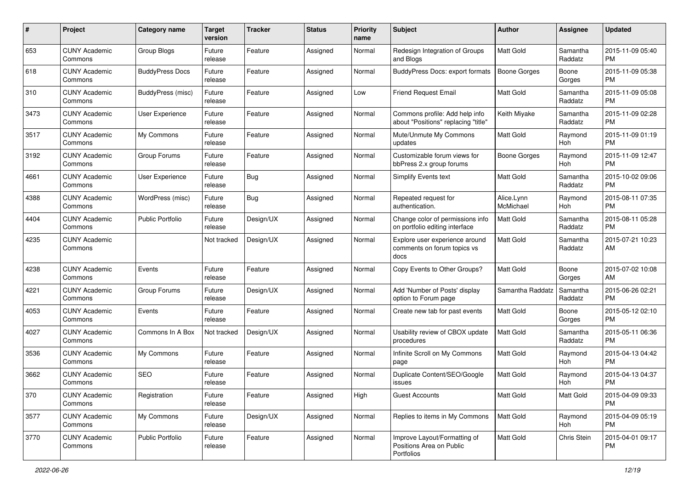| #    | Project                         | <b>Category name</b>    | <b>Target</b><br>version | <b>Tracker</b> | <b>Status</b> | <b>Priority</b><br>name | Subject                                                                | Author                  | <b>Assignee</b>     | <b>Updated</b>                |
|------|---------------------------------|-------------------------|--------------------------|----------------|---------------|-------------------------|------------------------------------------------------------------------|-------------------------|---------------------|-------------------------------|
| 653  | <b>CUNY Academic</b><br>Commons | Group Blogs             | Future<br>release        | Feature        | Assigned      | Normal                  | Redesign Integration of Groups<br>and Blogs                            | <b>Matt Gold</b>        | Samantha<br>Raddatz | 2015-11-09 05:40<br><b>PM</b> |
| 618  | <b>CUNY Academic</b><br>Commons | <b>BuddyPress Docs</b>  | Future<br>release        | Feature        | Assigned      | Normal                  | BuddyPress Docs: export formats                                        | <b>Boone Gorges</b>     | Boone<br>Gorges     | 2015-11-09 05:38<br><b>PM</b> |
| 310  | <b>CUNY Academic</b><br>Commons | BuddyPress (misc)       | Future<br>release        | Feature        | Assigned      | Low                     | <b>Friend Request Email</b>                                            | Matt Gold               | Samantha<br>Raddatz | 2015-11-09 05:08<br><b>PM</b> |
| 3473 | <b>CUNY Academic</b><br>Commons | User Experience         | Future<br>release        | Feature        | Assigned      | Normal                  | Commons profile: Add help info<br>about "Positions" replacing "title"  | Keith Miyake            | Samantha<br>Raddatz | 2015-11-09 02:28<br><b>PM</b> |
| 3517 | <b>CUNY Academic</b><br>Commons | My Commons              | Future<br>release        | Feature        | Assigned      | Normal                  | Mute/Unmute My Commons<br>updates                                      | Matt Gold               | Raymond<br>Hoh      | 2015-11-09 01:19<br><b>PM</b> |
| 3192 | <b>CUNY Academic</b><br>Commons | Group Forums            | Future<br>release        | Feature        | Assigned      | Normal                  | Customizable forum views for<br>bbPress 2.x group forums               | <b>Boone Gorges</b>     | Raymond<br>Hoh      | 2015-11-09 12:47<br><b>PM</b> |
| 4661 | <b>CUNY Academic</b><br>Commons | User Experience         | Future<br>release        | <b>Bug</b>     | Assigned      | Normal                  | Simplify Events text                                                   | <b>Matt Gold</b>        | Samantha<br>Raddatz | 2015-10-02 09:06<br><b>PM</b> |
| 4388 | <b>CUNY Academic</b><br>Commons | WordPress (misc)        | Future<br>release        | Bug            | Assigned      | Normal                  | Repeated request for<br>authentication.                                | Alice.Lynn<br>McMichael | Raymond<br>Hoh      | 2015-08-11 07:35<br><b>PM</b> |
| 4404 | <b>CUNY Academic</b><br>Commons | <b>Public Portfolio</b> | Future<br>release        | Design/UX      | Assigned      | Normal                  | Change color of permissions info<br>on portfolio editing interface     | Matt Gold               | Samantha<br>Raddatz | 2015-08-11 05:28<br><b>PM</b> |
| 4235 | <b>CUNY Academic</b><br>Commons |                         | Not tracked              | Design/UX      | Assigned      | Normal                  | Explore user experience around<br>comments on forum topics vs<br>docs  | Matt Gold               | Samantha<br>Raddatz | 2015-07-21 10:23<br>AM        |
| 4238 | <b>CUNY Academic</b><br>Commons | Events                  | Future<br>release        | Feature        | Assigned      | Normal                  | Copy Events to Other Groups?                                           | <b>Matt Gold</b>        | Boone<br>Gorges     | 2015-07-02 10:08<br>AM        |
| 4221 | <b>CUNY Academic</b><br>Commons | Group Forums            | Future<br>release        | Design/UX      | Assigned      | Normal                  | Add 'Number of Posts' display<br>option to Forum page                  | Samantha Raddatz        | Samantha<br>Raddatz | 2015-06-26 02:21<br><b>PM</b> |
| 4053 | <b>CUNY Academic</b><br>Commons | Events                  | Future<br>release        | Feature        | Assigned      | Normal                  | Create new tab for past events                                         | <b>Matt Gold</b>        | Boone<br>Gorges     | 2015-05-12 02:10<br><b>PM</b> |
| 4027 | <b>CUNY Academic</b><br>Commons | Commons In A Box        | Not tracked              | Design/UX      | Assigned      | Normal                  | Usability review of CBOX update<br>procedures                          | <b>Matt Gold</b>        | Samantha<br>Raddatz | 2015-05-11 06:36<br><b>PM</b> |
| 3536 | <b>CUNY Academic</b><br>Commons | My Commons              | Future<br>release        | Feature        | Assigned      | Normal                  | Infinite Scroll on My Commons<br>page                                  | <b>Matt Gold</b>        | Raymond<br>Hoh      | 2015-04-13 04:42<br><b>PM</b> |
| 3662 | <b>CUNY Academic</b><br>Commons | <b>SEO</b>              | Future<br>release        | Feature        | Assigned      | Normal                  | Duplicate Content/SEO/Google<br>issues                                 | <b>Matt Gold</b>        | Raymond<br>Hoh      | 2015-04-13 04:37<br><b>PM</b> |
| 370  | <b>CUNY Academic</b><br>Commons | Registration            | Future<br>release        | Feature        | Assigned      | High                    | <b>Guest Accounts</b>                                                  | Matt Gold               | Matt Gold           | 2015-04-09 09:33<br>PM        |
| 3577 | <b>CUNY Academic</b><br>Commons | My Commons              | Future<br>release        | Design/UX      | Assigned      | Normal                  | Replies to items in My Commons                                         | Matt Gold               | Raymond<br>Hoh      | 2015-04-09 05:19<br>PM        |
| 3770 | <b>CUNY Academic</b><br>Commons | Public Portfolio        | Future<br>release        | Feature        | Assigned      | Normal                  | Improve Layout/Formatting of<br>Positions Area on Public<br>Portfolios | Matt Gold               | Chris Stein         | 2015-04-01 09:17<br><b>PM</b> |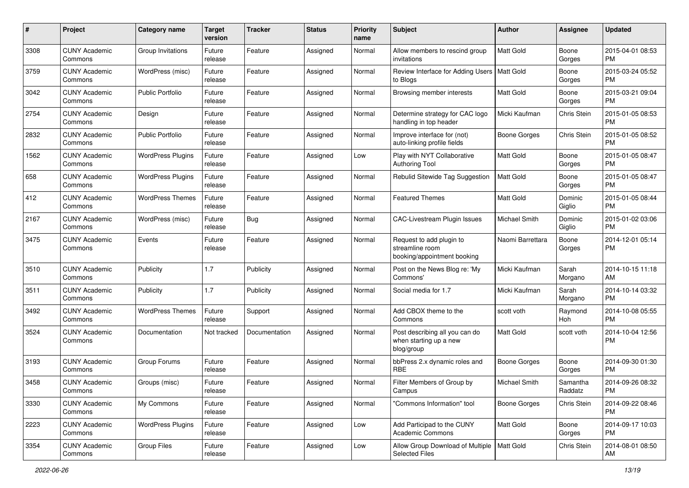| #    | Project                         | <b>Category name</b>     | <b>Target</b><br>version | <b>Tracker</b> | <b>Status</b> | <b>Priority</b><br>name | <b>Subject</b>                                                             | Author              | <b>Assignee</b>     | <b>Updated</b>                |
|------|---------------------------------|--------------------------|--------------------------|----------------|---------------|-------------------------|----------------------------------------------------------------------------|---------------------|---------------------|-------------------------------|
| 3308 | <b>CUNY Academic</b><br>Commons | Group Invitations        | Future<br>release        | Feature        | Assigned      | Normal                  | Allow members to rescind group<br>invitations                              | <b>Matt Gold</b>    | Boone<br>Gorges     | 2015-04-01 08:53<br>PM        |
| 3759 | <b>CUNY Academic</b><br>Commons | WordPress (misc)         | Future<br>release        | Feature        | Assigned      | Normal                  | Review Interface for Adding Users   Matt Gold<br>to Blogs                  |                     | Boone<br>Gorges     | 2015-03-24 05:52<br><b>PM</b> |
| 3042 | <b>CUNY Academic</b><br>Commons | <b>Public Portfolio</b>  | Future<br>release        | Feature        | Assigned      | Normal                  | Browsing member interests                                                  | Matt Gold           | Boone<br>Gorges     | 2015-03-21 09:04<br>PM        |
| 2754 | <b>CUNY Academic</b><br>Commons | Design                   | Future<br>release        | Feature        | Assigned      | Normal                  | Determine strategy for CAC logo<br>handling in top header                  | Micki Kaufman       | Chris Stein         | 2015-01-05 08:53<br><b>PM</b> |
| 2832 | <b>CUNY Academic</b><br>Commons | <b>Public Portfolio</b>  | Future<br>release        | Feature        | Assigned      | Normal                  | Improve interface for (not)<br>auto-linking profile fields                 | <b>Boone Gorges</b> | Chris Stein         | 2015-01-05 08:52<br><b>PM</b> |
| 1562 | <b>CUNY Academic</b><br>Commons | <b>WordPress Plugins</b> | Future<br>release        | Feature        | Assigned      | Low                     | Play with NYT Collaborative<br><b>Authoring Tool</b>                       | Matt Gold           | Boone<br>Gorges     | 2015-01-05 08:47<br>PM        |
| 658  | <b>CUNY Academic</b><br>Commons | <b>WordPress Plugins</b> | Future<br>release        | Feature        | Assigned      | Normal                  | Rebulid Sitewide Tag Suggestion                                            | Matt Gold           | Boone<br>Gorges     | 2015-01-05 08:47<br>PM        |
| 412  | <b>CUNY Academic</b><br>Commons | <b>WordPress Themes</b>  | Future<br>release        | Feature        | Assigned      | Normal                  | <b>Featured Themes</b>                                                     | <b>Matt Gold</b>    | Dominic<br>Giglio   | 2015-01-05 08:44<br>PM        |
| 2167 | <b>CUNY Academic</b><br>Commons | WordPress (misc)         | Future<br>release        | <b>Bug</b>     | Assigned      | Normal                  | CAC-Livestream Plugin Issues                                               | Michael Smith       | Dominic<br>Giglio   | 2015-01-02 03:06<br><b>PM</b> |
| 3475 | <b>CUNY Academic</b><br>Commons | Events                   | Future<br>release        | Feature        | Assigned      | Normal                  | Request to add plugin to<br>streamline room<br>booking/appointment booking | Naomi Barrettara    | Boone<br>Gorges     | 2014-12-01 05:14<br>PM        |
| 3510 | <b>CUNY Academic</b><br>Commons | Publicity                | 1.7                      | Publicity      | Assigned      | Normal                  | Post on the News Blog re: 'My<br>Commons'                                  | Micki Kaufman       | Sarah<br>Morgano    | 2014-10-15 11:18<br>AM        |
| 3511 | <b>CUNY Academic</b><br>Commons | Publicity                | 1.7                      | Publicity      | Assigned      | Normal                  | Social media for 1.7                                                       | Micki Kaufman       | Sarah<br>Morgano    | 2014-10-14 03:32<br><b>PM</b> |
| 3492 | <b>CUNY Academic</b><br>Commons | <b>WordPress Themes</b>  | Future<br>release        | Support        | Assigned      | Normal                  | Add CBOX theme to the<br>Commons                                           | scott voth          | Raymond<br>Hoh      | 2014-10-08 05:55<br><b>PM</b> |
| 3524 | <b>CUNY Academic</b><br>Commons | Documentation            | Not tracked              | Documentation  | Assigned      | Normal                  | Post describing all you can do<br>when starting up a new<br>blog/group     | <b>Matt Gold</b>    | scott voth          | 2014-10-04 12:56<br><b>PM</b> |
| 3193 | <b>CUNY Academic</b><br>Commons | Group Forums             | Future<br>release        | Feature        | Assigned      | Normal                  | bbPress 2.x dynamic roles and<br><b>RBE</b>                                | <b>Boone Gorges</b> | Boone<br>Gorges     | 2014-09-30 01:30<br><b>PM</b> |
| 3458 | <b>CUNY Academic</b><br>Commons | Groups (misc)            | Future<br>release        | Feature        | Assigned      | Normal                  | Filter Members of Group by<br>Campus                                       | Michael Smith       | Samantha<br>Raddatz | 2014-09-26 08:32<br>PM        |
| 3330 | <b>CUNY Academic</b><br>Commons | My Commons               | Future<br>release        | Feature        | Assigned      | Normal                  | "Commons Information" tool                                                 | Boone Gorges        | Chris Stein         | 2014-09-22 08:46<br>PM        |
| 2223 | <b>CUNY Academic</b><br>Commons | <b>WordPress Plugins</b> | Future<br>release        | Feature        | Assigned      | Low                     | Add Participad to the CUNY<br><b>Academic Commons</b>                      | Matt Gold           | Boone<br>Gorges     | 2014-09-17 10:03<br>PM        |
| 3354 | <b>CUNY Academic</b><br>Commons | Group Files              | Future<br>release        | Feature        | Assigned      | Low                     | Allow Group Download of Multiple   Matt Gold<br><b>Selected Files</b>      |                     | Chris Stein         | 2014-08-01 08:50<br>AM        |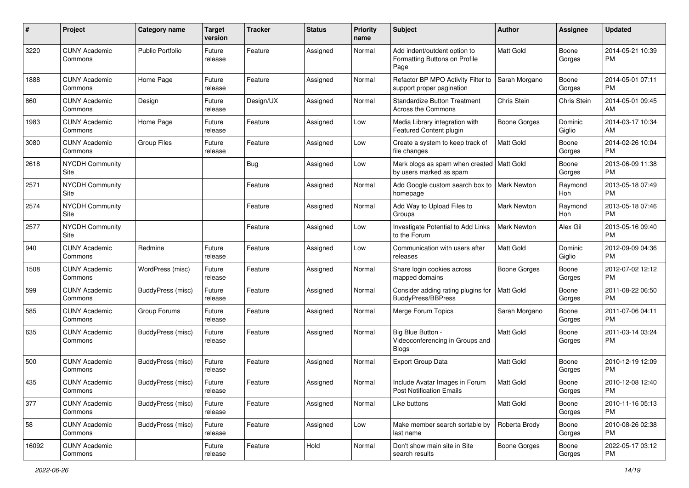| #     | Project                         | <b>Category name</b>     | <b>Target</b><br>version | <b>Tracker</b> | <b>Status</b> | <b>Priority</b><br>name | Subject                                                                | Author             | <b>Assignee</b>   | <b>Updated</b>                |
|-------|---------------------------------|--------------------------|--------------------------|----------------|---------------|-------------------------|------------------------------------------------------------------------|--------------------|-------------------|-------------------------------|
| 3220  | <b>CUNY Academic</b><br>Commons | <b>Public Portfolio</b>  | Future<br>release        | Feature        | Assigned      | Normal                  | Add indent/outdent option to<br>Formatting Buttons on Profile<br>Page  | <b>Matt Gold</b>   | Boone<br>Gorges   | 2014-05-21 10:39<br><b>PM</b> |
| 1888  | <b>CUNY Academic</b><br>Commons | Home Page                | Future<br>release        | Feature        | Assigned      | Normal                  | Refactor BP MPO Activity Filter to<br>support proper pagination        | Sarah Morgano      | Boone<br>Gorges   | 2014-05-01 07:11<br><b>PM</b> |
| 860   | <b>CUNY Academic</b><br>Commons | Design                   | Future<br>release        | Design/UX      | Assigned      | Normal                  | <b>Standardize Button Treatment</b><br>Across the Commons              | Chris Stein        | Chris Stein       | 2014-05-01 09:45<br>AM        |
| 1983  | <b>CUNY Academic</b><br>Commons | Home Page                | Future<br>release        | Feature        | Assigned      | Low                     | Media Library integration with<br>Featured Content plugin              | Boone Gorges       | Dominic<br>Giglio | 2014-03-17 10:34<br>AM        |
| 3080  | <b>CUNY Academic</b><br>Commons | <b>Group Files</b>       | Future<br>release        | Feature        | Assigned      | Low                     | Create a system to keep track of<br>file changes                       | <b>Matt Gold</b>   | Boone<br>Gorges   | 2014-02-26 10:04<br><b>PM</b> |
| 2618  | <b>NYCDH Community</b><br>Site  |                          |                          | <b>Bug</b>     | Assigned      | Low                     | Mark blogs as spam when created   Matt Gold<br>by users marked as spam |                    | Boone<br>Gorges   | 2013-06-09 11:38<br><b>PM</b> |
| 2571  | <b>NYCDH Community</b><br>Site  |                          |                          | Feature        | Assigned      | Normal                  | Add Google custom search box to   Mark Newton<br>homepage              |                    | Raymond<br>Hoh    | 2013-05-18 07:49<br><b>PM</b> |
| 2574  | <b>NYCDH Community</b><br>Site  |                          |                          | Feature        | Assigned      | Normal                  | Add Way to Upload Files to<br>Groups                                   | <b>Mark Newton</b> | Raymond<br>Hoh    | 2013-05-18 07:46<br><b>PM</b> |
| 2577  | <b>NYCDH Community</b><br>Site  |                          |                          | Feature        | Assigned      | Low                     | Investigate Potential to Add Links<br>to the Forum                     | <b>Mark Newton</b> | Alex Gil          | 2013-05-16 09:40<br><b>PM</b> |
| 940   | <b>CUNY Academic</b><br>Commons | Redmine                  | Future<br>release        | Feature        | Assigned      | Low                     | Communication with users after<br>releases                             | <b>Matt Gold</b>   | Dominic<br>Giglio | 2012-09-09 04:36<br><b>PM</b> |
| 1508  | <b>CUNY Academic</b><br>Commons | WordPress (misc)         | Future<br>release        | Feature        | Assigned      | Normal                  | Share login cookies across<br>mapped domains                           | Boone Gorges       | Boone<br>Gorges   | 2012-07-02 12:12<br><b>PM</b> |
| 599   | <b>CUNY Academic</b><br>Commons | BuddyPress (misc)        | Future<br>release        | Feature        | Assigned      | Normal                  | Consider adding rating plugins for<br><b>BuddyPress/BBPress</b>        | <b>Matt Gold</b>   | Boone<br>Gorges   | 2011-08-22 06:50<br><b>PM</b> |
| 585   | <b>CUNY Academic</b><br>Commons | Group Forums             | Future<br>release        | Feature        | Assigned      | Normal                  | Merge Forum Topics                                                     | Sarah Morgano      | Boone<br>Gorges   | 2011-07-06 04:11<br><b>PM</b> |
| 635   | <b>CUNY Academic</b><br>Commons | BuddyPress (misc)        | Future<br>release        | Feature        | Assigned      | Normal                  | Big Blue Button -<br>Videoconferencing in Groups and<br><b>Blogs</b>   | <b>Matt Gold</b>   | Boone<br>Gorges   | 2011-03-14 03:24<br><b>PM</b> |
| 500   | <b>CUNY Academic</b><br>Commons | BuddyPress (misc)        | Future<br>release        | Feature        | Assigned      | Normal                  | <b>Export Group Data</b>                                               | Matt Gold          | Boone<br>Gorges   | 2010-12-19 12:09<br><b>PM</b> |
| 435   | <b>CUNY Academic</b><br>Commons | BuddyPress (misc)        | Future<br>release        | Feature        | Assigned      | Normal                  | Include Avatar Images in Forum<br>Post Notification Emails             | <b>Matt Gold</b>   | Boone<br>Gorges   | 2010-12-08 12:40<br><b>PM</b> |
| 377   | <b>CUNY Academic</b><br>Commons | <b>BuddyPress (misc)</b> | Future<br>release        | Feature        | Assigned      | Normal                  | Like buttons                                                           | <b>Matt Gold</b>   | Boone<br>Gorges   | 2010-11-16 05:13<br><b>PM</b> |
| 58    | <b>CUNY Academic</b><br>Commons | BuddyPress (misc)        | Future<br>release        | Feature        | Assigned      | Low                     | Make member search sortable by<br>last name                            | Roberta Brody      | Boone<br>Gorges   | 2010-08-26 02:38<br><b>PM</b> |
| 16092 | <b>CUNY Academic</b><br>Commons |                          | Future<br>release        | Feature        | Hold          | Normal                  | Don't show main site in Site<br>search results                         | Boone Gorges       | Boone<br>Gorges   | 2022-05-17 03:12<br><b>PM</b> |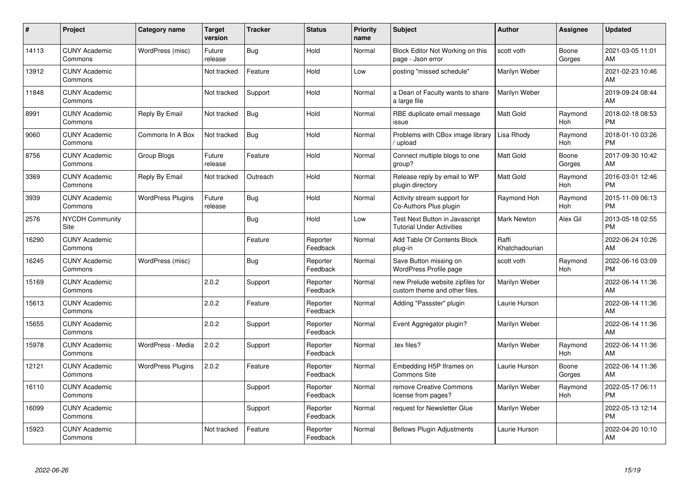| #     | Project                         | <b>Category name</b>     | Target<br>version | <b>Tracker</b> | <b>Status</b>        | <b>Priority</b><br>name | <b>Subject</b>                                                     | <b>Author</b>           | <b>Assignee</b>       | <b>Updated</b>                |
|-------|---------------------------------|--------------------------|-------------------|----------------|----------------------|-------------------------|--------------------------------------------------------------------|-------------------------|-----------------------|-------------------------------|
| 14113 | <b>CUNY Academic</b><br>Commons | WordPress (misc)         | Future<br>release | Bug            | Hold                 | Normal                  | Block Editor Not Working on this<br>page - Json error              | scott voth              | Boone<br>Gorges       | 2021-03-05 11:01<br>AM        |
| 13912 | <b>CUNY Academic</b><br>Commons |                          | Not tracked       | Feature        | Hold                 | Low                     | posting "missed schedule"                                          | Marilyn Weber           |                       | 2021-02-23 10:46<br>AM        |
| 11848 | <b>CUNY Academic</b><br>Commons |                          | Not tracked       | Support        | Hold                 | Normal                  | a Dean of Faculty wants to share<br>a large file                   | Marilyn Weber           |                       | 2019-09-24 08:44<br>AM        |
| 8991  | <b>CUNY Academic</b><br>Commons | Reply By Email           | Not tracked       | Bug            | Hold                 | Normal                  | RBE duplicate email message<br>issue                               | Matt Gold               | Raymond<br><b>Hoh</b> | 2018-02-18 08:53<br><b>PM</b> |
| 9060  | <b>CUNY Academic</b><br>Commons | Commons In A Box         | Not tracked       | <b>Bug</b>     | Hold                 | Normal                  | Problems with CBox image library<br>upload                         | Lisa Rhody              | Raymond<br><b>Hoh</b> | 2018-01-10 03:26<br><b>PM</b> |
| 8756  | <b>CUNY Academic</b><br>Commons | Group Blogs              | Future<br>release | Feature        | Hold                 | Normal                  | Connect multiple blogs to one<br>group?                            | Matt Gold               | Boone<br>Gorges       | 2017-09-30 10:42<br>AM        |
| 3369  | <b>CUNY Academic</b><br>Commons | Reply By Email           | Not tracked       | Outreach       | Hold                 | Normal                  | Release reply by email to WP<br>plugin directory                   | Matt Gold               | Raymond<br><b>Hoh</b> | 2016-03-01 12:46<br><b>PM</b> |
| 3939  | <b>CUNY Academic</b><br>Commons | <b>WordPress Plugins</b> | Future<br>release | Bug            | Hold                 | Normal                  | Activity stream support for<br>Co-Authors Plus plugin              | Raymond Hoh             | Raymond<br>Hoh        | 2015-11-09 06:13<br><b>PM</b> |
| 2576  | <b>NYCDH Community</b><br>Site  |                          |                   | Bug            | Hold                 | Low                     | Test Next Button in Javascript<br><b>Tutorial Under Activities</b> | <b>Mark Newton</b>      | Alex Gil              | 2013-05-18 02:55<br><b>PM</b> |
| 16290 | <b>CUNY Academic</b><br>Commons |                          |                   | Feature        | Reporter<br>Feedback | Normal                  | Add Table Of Contents Block<br>plug-in                             | Raffi<br>Khatchadourian |                       | 2022-06-24 10:26<br>AM        |
| 16245 | <b>CUNY Academic</b><br>Commons | WordPress (misc)         |                   | <b>Bug</b>     | Reporter<br>Feedback | Normal                  | Save Button missing on<br>WordPress Profile page                   | scott voth              | Raymond<br>Hoh        | 2022-06-16 03:09<br><b>PM</b> |
| 15169 | <b>CUNY Academic</b><br>Commons |                          | 2.0.2             | Support        | Reporter<br>Feedback | Normal                  | new Prelude website zipfiles for<br>custom theme and other files.  | Marilyn Weber           |                       | 2022-06-14 11:36<br>AM        |
| 15613 | <b>CUNY Academic</b><br>Commons |                          | 2.0.2             | Feature        | Reporter<br>Feedback | Normal                  | Adding "Passster" plugin                                           | Laurie Hurson           |                       | 2022-06-14 11:36<br>AM        |
| 15655 | <b>CUNY Academic</b><br>Commons |                          | 2.0.2             | Support        | Reporter<br>Feedback | Normal                  | Event Aggregator plugin?                                           | Marilyn Weber           |                       | 2022-06-14 11:36<br>AM        |
| 15978 | <b>CUNY Academic</b><br>Commons | WordPress - Media        | 2.0.2             | Support        | Reporter<br>Feedback | Normal                  | .tex files?                                                        | Marilyn Weber           | Raymond<br>Hoh        | 2022-06-14 11:36<br>AM        |
| 12121 | <b>CUNY Academic</b><br>Commons | <b>WordPress Plugins</b> | 2.0.2             | Feature        | Reporter<br>Feedback | Normal                  | Embedding H5P Iframes on<br><b>Commons Site</b>                    | Laurie Hurson           | Boone<br>Gorges       | 2022-06-14 11:36<br>AM        |
| 16110 | <b>CUNY Academic</b><br>Commons |                          |                   | Support        | Reporter<br>Feedback | Normal                  | remove Creative Commons<br>license from pages?                     | Marilyn Weber           | Raymond<br>Hoh        | 2022-05-17 06:11<br><b>PM</b> |
| 16099 | <b>CUNY Academic</b><br>Commons |                          |                   | Support        | Reporter<br>Feedback | Normal                  | request for Newsletter Glue                                        | Marilyn Weber           |                       | 2022-05-13 12:14<br><b>PM</b> |
| 15923 | <b>CUNY Academic</b><br>Commons |                          | Not tracked       | Feature        | Reporter<br>Feedback | Normal                  | <b>Bellows Plugin Adjustments</b>                                  | Laurie Hurson           |                       | 2022-04-20 10:10<br>AM        |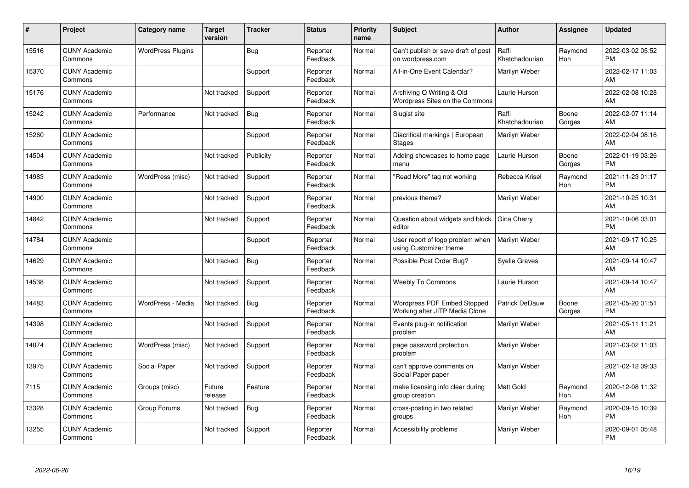| #     | Project                         | <b>Category name</b>     | Target<br>version | <b>Tracker</b> | <b>Status</b>        | <b>Priority</b><br>name | <b>Subject</b>                                                       | <b>Author</b>           | <b>Assignee</b>       | <b>Updated</b>                |
|-------|---------------------------------|--------------------------|-------------------|----------------|----------------------|-------------------------|----------------------------------------------------------------------|-------------------------|-----------------------|-------------------------------|
| 15516 | <b>CUNY Academic</b><br>Commons | <b>WordPress Plugins</b> |                   | <b>Bug</b>     | Reporter<br>Feedback | Normal                  | Can't publish or save draft of post<br>on wordpress.com              | Raffi<br>Khatchadourian | Raymond<br>Hoh        | 2022-03-02 05:52<br><b>PM</b> |
| 15370 | <b>CUNY Academic</b><br>Commons |                          |                   | Support        | Reporter<br>Feedback | Normal                  | All-in-One Event Calendar?                                           | Marilyn Weber           |                       | 2022-02-17 11:03<br>AM        |
| 15176 | <b>CUNY Academic</b><br>Commons |                          | Not tracked       | Support        | Reporter<br>Feedback | Normal                  | Archiving Q Writing & Old<br><b>Wordpress Sites on the Commons</b>   | Laurie Hurson           |                       | 2022-02-08 10:28<br>AM        |
| 15242 | <b>CUNY Academic</b><br>Commons | Performance              | Not tracked       | <b>Bug</b>     | Reporter<br>Feedback | Normal                  | Slugist site                                                         | Raffi<br>Khatchadourian | Boone<br>Gorges       | 2022-02-07 11:14<br>AM        |
| 15260 | <b>CUNY Academic</b><br>Commons |                          |                   | Support        | Reporter<br>Feedback | Normal                  | Diacritical markings   European<br><b>Stages</b>                     | Marilyn Weber           |                       | 2022-02-04 08:16<br>AM        |
| 14504 | <b>CUNY Academic</b><br>Commons |                          | Not tracked       | Publicity      | Reporter<br>Feedback | Normal                  | Adding showcases to home page<br>menu                                | Laurie Hurson           | Boone<br>Gorges       | 2022-01-19 03:26<br><b>PM</b> |
| 14983 | <b>CUNY Academic</b><br>Commons | WordPress (misc)         | Not tracked       | Support        | Reporter<br>Feedback | Normal                  | "Read More" tag not working                                          | Rebecca Krisel          | Raymond<br>Hoh        | 2021-11-23 01:17<br><b>PM</b> |
| 14900 | <b>CUNY Academic</b><br>Commons |                          | Not tracked       | Support        | Reporter<br>Feedback | Normal                  | previous theme?                                                      | Marilyn Weber           |                       | 2021-10-25 10:31<br>AM        |
| 14842 | <b>CUNY Academic</b><br>Commons |                          | Not tracked       | Support        | Reporter<br>Feedback | Normal                  | Question about widgets and block<br>editor                           | Gina Cherry             |                       | 2021-10-06 03:01<br><b>PM</b> |
| 14784 | <b>CUNY Academic</b><br>Commons |                          |                   | Support        | Reporter<br>Feedback | Normal                  | User report of logo problem when<br>using Customizer theme           | Marilyn Weber           |                       | 2021-09-17 10:25<br>AM        |
| 14629 | <b>CUNY Academic</b><br>Commons |                          | Not tracked       | Bug            | Reporter<br>Feedback | Normal                  | Possible Post Order Bug?                                             | <b>Syelle Graves</b>    |                       | 2021-09-14 10:47<br>AM        |
| 14538 | <b>CUNY Academic</b><br>Commons |                          | Not tracked       | Support        | Reporter<br>Feedback | Normal                  | <b>Weebly To Commons</b>                                             | Laurie Hurson           |                       | 2021-09-14 10:47<br>AM        |
| 14483 | <b>CUNY Academic</b><br>Commons | WordPress - Media        | Not tracked       | <b>Bug</b>     | Reporter<br>Feedback | Normal                  | <b>Wordpress PDF Embed Stopped</b><br>Working after JITP Media Clone | Patrick DeDauw          | Boone<br>Gorges       | 2021-05-20 01:51<br><b>PM</b> |
| 14398 | <b>CUNY Academic</b><br>Commons |                          | Not tracked       | Support        | Reporter<br>Feedback | Normal                  | Events plug-in notification<br>problem                               | Marilyn Weber           |                       | 2021-05-11 11:21<br>AM        |
| 14074 | <b>CUNY Academic</b><br>Commons | WordPress (misc)         | Not tracked       | Support        | Reporter<br>Feedback | Normal                  | page password protection<br>problem                                  | Marilyn Weber           |                       | 2021-03-02 11:03<br>AM        |
| 13975 | <b>CUNY Academic</b><br>Commons | Social Paper             | Not tracked       | Support        | Reporter<br>Feedback | Normal                  | can't approve comments on<br>Social Paper paper                      | Marilyn Weber           |                       | 2021-02-12 09:33<br>AM        |
| 7115  | <b>CUNY Academic</b><br>Commons | Groups (misc)            | Future<br>release | Feature        | Reporter<br>Feedback | Normal                  | make licensing info clear during<br>group creation                   | <b>Matt Gold</b>        | Raymond<br><b>Hoh</b> | 2020-12-08 11:32<br>AM        |
| 13328 | <b>CUNY Academic</b><br>Commons | Group Forums             | Not tracked       | Bug            | Reporter<br>Feedback | Normal                  | cross-posting in two related<br>groups                               | Marilyn Weber           | Raymond<br>Hoh        | 2020-09-15 10:39<br><b>PM</b> |
| 13255 | <b>CUNY Academic</b><br>Commons |                          | Not tracked       | Support        | Reporter<br>Feedback | Normal                  | Accessibility problems                                               | Marilyn Weber           |                       | 2020-09-01 05:48<br>PM        |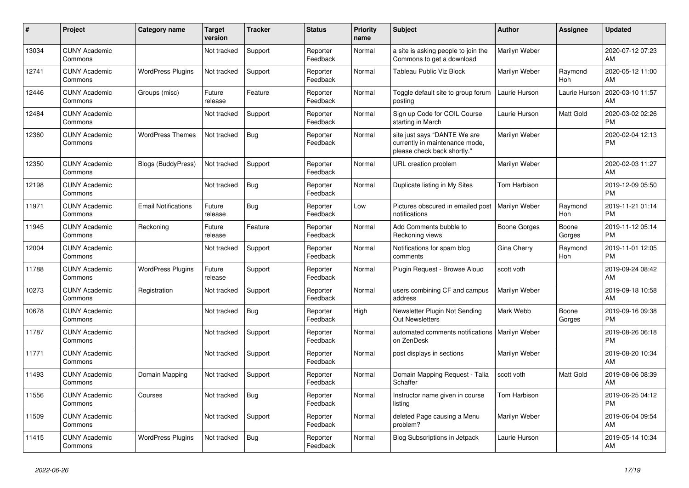| #     | <b>Project</b>                  | <b>Category name</b>       | <b>Target</b><br>version | <b>Tracker</b> | <b>Status</b>        | Priority<br>name | <b>Subject</b>                                                                                | <b>Author</b> | Assignee              | <b>Updated</b>                |
|-------|---------------------------------|----------------------------|--------------------------|----------------|----------------------|------------------|-----------------------------------------------------------------------------------------------|---------------|-----------------------|-------------------------------|
| 13034 | <b>CUNY Academic</b><br>Commons |                            | Not tracked              | Support        | Reporter<br>Feedback | Normal           | a site is asking people to join the<br>Commons to get a download                              | Marilyn Weber |                       | 2020-07-12 07:23<br>AM        |
| 12741 | <b>CUNY Academic</b><br>Commons | <b>WordPress Plugins</b>   | Not tracked              | Support        | Reporter<br>Feedback | Normal           | Tableau Public Viz Block                                                                      | Marilyn Weber | Raymond<br><b>Hoh</b> | 2020-05-12 11:00<br>AM        |
| 12446 | <b>CUNY Academic</b><br>Commons | Groups (misc)              | Future<br>release        | Feature        | Reporter<br>Feedback | Normal           | Toggle default site to group forum<br>posting                                                 | Laurie Hurson | Laurie Hurson         | 2020-03-10 11:57<br>AM        |
| 12484 | <b>CUNY Academic</b><br>Commons |                            | Not tracked              | Support        | Reporter<br>Feedback | Normal           | Sign up Code for COIL Course<br>starting in March                                             | Laurie Hurson | Matt Gold             | 2020-03-02 02:26<br><b>PM</b> |
| 12360 | <b>CUNY Academic</b><br>Commons | <b>WordPress Themes</b>    | Not tracked              | <b>Bug</b>     | Reporter<br>Feedback | Normal           | site just says "DANTE We are<br>currently in maintenance mode,<br>please check back shortly." | Marilyn Weber |                       | 2020-02-04 12:13<br><b>PM</b> |
| 12350 | <b>CUNY Academic</b><br>Commons | <b>Blogs (BuddyPress)</b>  | Not tracked              | Support        | Reporter<br>Feedback | Normal           | URL creation problem                                                                          | Marilyn Weber |                       | 2020-02-03 11:27<br>AM        |
| 12198 | <b>CUNY Academic</b><br>Commons |                            | Not tracked              | <b>Bug</b>     | Reporter<br>Feedback | Normal           | Duplicate listing in My Sites                                                                 | Tom Harbison  |                       | 2019-12-09 05:50<br><b>PM</b> |
| 11971 | <b>CUNY Academic</b><br>Commons | <b>Email Notifications</b> | Future<br>release        | <b>Bug</b>     | Reporter<br>Feedback | Low              | Pictures obscured in emailed post<br>notifications                                            | Marilyn Weber | Raymond<br><b>Hoh</b> | 2019-11-21 01:14<br><b>PM</b> |
| 11945 | <b>CUNY Academic</b><br>Commons | Reckoning                  | Future<br>release        | Feature        | Reporter<br>Feedback | Normal           | Add Comments bubble to<br>Reckoning views                                                     | Boone Gorges  | Boone<br>Gorges       | 2019-11-12 05:14<br><b>PM</b> |
| 12004 | <b>CUNY Academic</b><br>Commons |                            | Not tracked              | Support        | Reporter<br>Feedback | Normal           | Notifications for spam blog<br>comments                                                       | Gina Cherry   | Raymond<br>Hoh        | 2019-11-01 12:05<br><b>PM</b> |
| 11788 | <b>CUNY Academic</b><br>Commons | <b>WordPress Plugins</b>   | Future<br>release        | Support        | Reporter<br>Feedback | Normal           | Plugin Request - Browse Aloud                                                                 | scott voth    |                       | 2019-09-24 08:42<br>AM        |
| 10273 | <b>CUNY Academic</b><br>Commons | Registration               | Not tracked              | Support        | Reporter<br>Feedback | Normal           | users combining CF and campus<br>address                                                      | Marilyn Weber |                       | 2019-09-18 10:58<br>AM        |
| 10678 | <b>CUNY Academic</b><br>Commons |                            | Not tracked              | <b>Bug</b>     | Reporter<br>Feedback | High             | Newsletter Plugin Not Sending<br><b>Out Newsletters</b>                                       | Mark Webb     | Boone<br>Gorges       | 2019-09-16 09:38<br><b>PM</b> |
| 11787 | <b>CUNY Academic</b><br>Commons |                            | Not tracked              | Support        | Reporter<br>Feedback | Normal           | automated comments notifications<br>on ZenDesk                                                | Marilyn Weber |                       | 2019-08-26 06:18<br><b>PM</b> |
| 11771 | <b>CUNY Academic</b><br>Commons |                            | Not tracked              | Support        | Reporter<br>Feedback | Normal           | post displays in sections                                                                     | Marilyn Weber |                       | 2019-08-20 10:34<br>AM        |
| 11493 | <b>CUNY Academic</b><br>Commons | Domain Mapping             | Not tracked              | Support        | Reporter<br>Feedback | Normal           | Domain Mapping Request - Talia<br>Schaffer                                                    | scott voth    | <b>Matt Gold</b>      | 2019-08-06 08:39<br>AM        |
| 11556 | <b>CUNY Academic</b><br>Commons | Courses                    | Not tracked              | Bug            | Reporter<br>Feedback | Normal           | Instructor name given in course<br>listing                                                    | Tom Harbison  |                       | 2019-06-25 04:12<br><b>PM</b> |
| 11509 | <b>CUNY Academic</b><br>Commons |                            | Not tracked              | Support        | Reporter<br>Feedback | Normal           | deleted Page causing a Menu<br>problem?                                                       | Marilyn Weber |                       | 2019-06-04 09:54<br>AM        |
| 11415 | <b>CUNY Academic</b><br>Commons | <b>WordPress Plugins</b>   | Not tracked              | <b>Bug</b>     | Reporter<br>Feedback | Normal           | Blog Subscriptions in Jetpack                                                                 | Laurie Hurson |                       | 2019-05-14 10:34<br>AM        |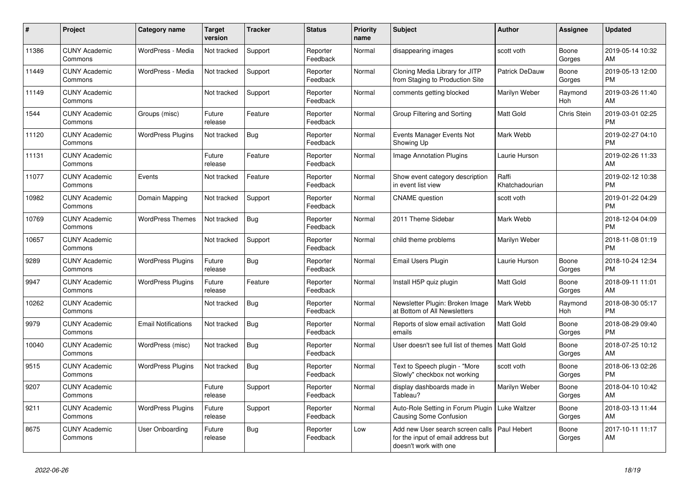| #     | <b>Project</b>                  | Category name              | <b>Target</b><br>version | <b>Tracker</b> | <b>Status</b>        | <b>Priority</b><br>name | <b>Subject</b>                                                                                  | <b>Author</b>           | Assignee        | <b>Updated</b>                |
|-------|---------------------------------|----------------------------|--------------------------|----------------|----------------------|-------------------------|-------------------------------------------------------------------------------------------------|-------------------------|-----------------|-------------------------------|
| 11386 | <b>CUNY Academic</b><br>Commons | WordPress - Media          | Not tracked              | Support        | Reporter<br>Feedback | Normal                  | disappearing images                                                                             | scott voth              | Boone<br>Gorges | 2019-05-14 10:32<br>AM        |
| 11449 | <b>CUNY Academic</b><br>Commons | WordPress - Media          | Not tracked              | Support        | Reporter<br>Feedback | Normal                  | Cloning Media Library for JITP<br>from Staging to Production Site                               | <b>Patrick DeDauw</b>   | Boone<br>Gorges | 2019-05-13 12:00<br><b>PM</b> |
| 11149 | <b>CUNY Academic</b><br>Commons |                            | Not tracked              | Support        | Reporter<br>Feedback | Normal                  | comments getting blocked                                                                        | Marilyn Weber           | Raymond<br>Hoh  | 2019-03-26 11:40<br>AM        |
| 1544  | <b>CUNY Academic</b><br>Commons | Groups (misc)              | Future<br>release        | Feature        | Reporter<br>Feedback | Normal                  | Group Filtering and Sorting                                                                     | Matt Gold               | Chris Stein     | 2019-03-01 02:25<br><b>PM</b> |
| 11120 | <b>CUNY Academic</b><br>Commons | <b>WordPress Plugins</b>   | Not tracked              | Bug            | Reporter<br>Feedback | Normal                  | Events Manager Events Not<br>Showing Up                                                         | Mark Webb               |                 | 2019-02-27 04:10<br><b>PM</b> |
| 11131 | <b>CUNY Academic</b><br>Commons |                            | Future<br>release        | Feature        | Reporter<br>Feedback | Normal                  | Image Annotation Plugins                                                                        | Laurie Hurson           |                 | 2019-02-26 11:33<br>AM        |
| 11077 | <b>CUNY Academic</b><br>Commons | Events                     | Not tracked              | Feature        | Reporter<br>Feedback | Normal                  | Show event category description<br>in event list view                                           | Raffi<br>Khatchadourian |                 | 2019-02-12 10:38<br><b>PM</b> |
| 10982 | <b>CUNY Academic</b><br>Commons | Domain Mapping             | Not tracked              | Support        | Reporter<br>Feedback | Normal                  | <b>CNAME</b> question                                                                           | scott voth              |                 | 2019-01-22 04:29<br><b>PM</b> |
| 10769 | <b>CUNY Academic</b><br>Commons | <b>WordPress Themes</b>    | Not tracked              | <b>Bug</b>     | Reporter<br>Feedback | Normal                  | 2011 Theme Sidebar                                                                              | Mark Webb               |                 | 2018-12-04 04:09<br><b>PM</b> |
| 10657 | <b>CUNY Academic</b><br>Commons |                            | Not tracked              | Support        | Reporter<br>Feedback | Normal                  | child theme problems                                                                            | Marilyn Weber           |                 | 2018-11-08 01:19<br><b>PM</b> |
| 9289  | <b>CUNY Academic</b><br>Commons | <b>WordPress Plugins</b>   | Future<br>release        | Bug            | Reporter<br>Feedback | Normal                  | Email Users Plugin                                                                              | Laurie Hurson           | Boone<br>Gorges | 2018-10-24 12:34<br><b>PM</b> |
| 9947  | <b>CUNY Academic</b><br>Commons | <b>WordPress Plugins</b>   | Future<br>release        | Feature        | Reporter<br>Feedback | Normal                  | Install H5P quiz plugin                                                                         | Matt Gold               | Boone<br>Gorges | 2018-09-11 11:01<br>AM        |
| 10262 | <b>CUNY Academic</b><br>Commons |                            | Not tracked              | <b>Bug</b>     | Reporter<br>Feedback | Normal                  | Newsletter Plugin: Broken Image<br>at Bottom of All Newsletters                                 | Mark Webb               | Raymond<br>Hoh  | 2018-08-30 05:17<br><b>PM</b> |
| 9979  | <b>CUNY Academic</b><br>Commons | <b>Email Notifications</b> | Not tracked              | Bug            | Reporter<br>Feedback | Normal                  | Reports of slow email activation<br>emails                                                      | <b>Matt Gold</b>        | Boone<br>Gorges | 2018-08-29 09:40<br><b>PM</b> |
| 10040 | <b>CUNY Academic</b><br>Commons | WordPress (misc)           | Not tracked              | Bug            | Reporter<br>Feedback | Normal                  | User doesn't see full list of themes   Matt Gold                                                |                         | Boone<br>Gorges | 2018-07-25 10:12<br>AM        |
| 9515  | <b>CUNY Academic</b><br>Commons | <b>WordPress Plugins</b>   | Not tracked              | <b>Bug</b>     | Reporter<br>Feedback | Normal                  | Text to Speech plugin - "More<br>Slowly" checkbox not working                                   | scott voth              | Boone<br>Gorges | 2018-06-13 02:26<br><b>PM</b> |
| 9207  | <b>CUNY Academic</b><br>Commons |                            | Future<br>release        | Support        | Reporter<br>Feedback | Normal                  | display dashboards made in<br>Tableau?                                                          | Marilyn Weber           | Boone<br>Gorges | 2018-04-10 10:42<br>AM        |
| 9211  | <b>CUNY Academic</b><br>Commons | <b>WordPress Plugins</b>   | Future<br>release        | Support        | Reporter<br>Feedback | Normal                  | Auto-Role Setting in Forum Plugin<br><b>Causing Some Confusion</b>                              | Luke Waltzer            | Boone<br>Gorges | 2018-03-13 11:44<br>AM        |
| 8675  | <b>CUNY Academic</b><br>Commons | User Onboarding            | Future<br>release        | <b>Bug</b>     | Reporter<br>Feedback | Low                     | Add new User search screen calls<br>for the input of email address but<br>doesn't work with one | Paul Hebert             | Boone<br>Gorges | 2017-10-11 11:17<br>AM        |